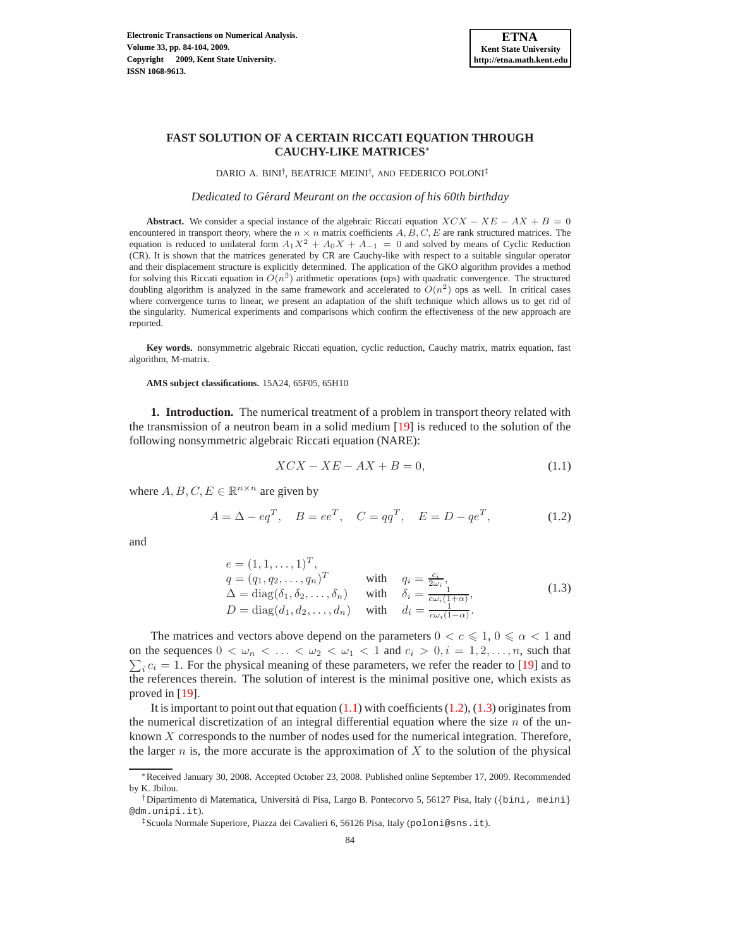## **FAST SOLUTION OF A CERTAIN RICCATI EQUATION THROUGH CAUCHY-LIKE MATRICES**<sup>∗</sup>

DARIO A. BINI† , BEATRICE MEINI† , AND FEDERICO POLONI‡

*Dedicated to Gerard Meurant on the occasion of his 60th birthday ´*

**Abstract.** We consider a special instance of the algebraic Riccati equation  $XCX - XE - AX + B = 0$ encountered in transport theory, where the  $n \times n$  matrix coefficients  $A, B, C, E$  are rank structured matrices. The equation is reduced to unilateral form  $A_1X^2 + A_0X + A_{-1} = 0$  and solved by means of Cyclic Reduction (CR). It is shown that the matrices generated by CR are Cauchy-like with respect to a suitable singular operator and their displacement structure is explicitly determined. The application of the GKO algorithm provides a method for solving this Riccati equation in  $O(n^2)$  arithmetic operations (ops) with quadratic convergence. The structured doubling algorithm is analyzed in the same framework and accelerated to  $O(n^2)$  ops as well. In critical cases where convergence turns to linear, we present an adaptation of the shift technique which allows us to get rid of the singularity. Numerical experiments and comparisons which confirm the effectiveness of the new approach are reported.

**Key words.** nonsymmetric algebraic Riccati equation, cyclic reduction, Cauchy matrix, matrix equation, fast algorithm, M-matrix.

**AMS subject classifications.** 15A24, 65F05, 65H10

**1. Introduction.** The numerical treatment of a problem in transport theory related with the transmission of a neutron beam in a solid medium [\[19](#page-19-0)] is reduced to the solution of the following nonsymmetric algebraic Riccati equation (NARE):

<span id="page-0-0"></span>
$$
XCX - XE - AX + B = 0,\t(1.1)
$$

where  $A, B, C, E \in \mathbb{R}^{n \times n}$  are given by

<span id="page-0-1"></span>
$$
A = \Delta - eq^T
$$
,  $B = ee^T$ ,  $C = qq^T$ ,  $E = D - qe^T$ , (1.2)

and

<span id="page-0-2"></span>
$$
e = (1, 1, \dots, 1)^T,
$$
  
\n
$$
q = (q_1, q_2, \dots, q_n)^T \quad \text{with} \quad q_i = \frac{c_i}{2\omega_i},
$$
  
\n
$$
\Delta = \text{diag}(\delta_1, \delta_2, \dots, \delta_n) \quad \text{with} \quad \delta_i = \frac{1}{c\omega_i(1+\alpha)},
$$
  
\n
$$
D = \text{diag}(d_1, d_2, \dots, d_n) \quad \text{with} \quad d_i = \frac{1}{c\omega_i(1-\alpha)}.
$$
\n(1.3)

The matrices and vectors above depend on the parameters  $0 < c \leq 1, 0 \leq \alpha < 1$  and on the sequences  $0 < \omega_n < \ldots < \omega_2 < \omega_1 < 1$  and  $c_i > 0, i = 1, 2, \ldots, n$ , such that  $\sum_i c_i = 1$ . For the physical meaning of these parameters, we refer the reader to [\[19](#page-19-0)] and to the references therein. The solution of interest is the minimal positive one, which exists as proved in [\[19\]](#page-19-0).

It is important to point out that equation  $(1.1)$  with coefficients  $(1.2)$ ,  $(1.3)$  originates from the numerical discretization of an integral differential equation where the size  $n$  of the unknown  $X$  corresponds to the number of nodes used for the numerical integration. Therefore, the larger  $n$  is, the more accurate is the approximation of  $X$  to the solution of the physical

<sup>∗</sup>Received January 30, 2008. Accepted October 23, 2008. Published online September 17, 2009. Recommended by K. Jbilou.

<sup>&</sup>lt;sup>†</sup>Dipartimento di Matematica, Università di Pisa, Largo B. Pontecorvo 5, 56127 Pisa, Italy ({bini, meini} @dm.unipi.it).

<sup>‡</sup>Scuola Normale Superiore, Piazza dei Cavalieri 6, 56126 Pisa, Italy (poloni@sns.it).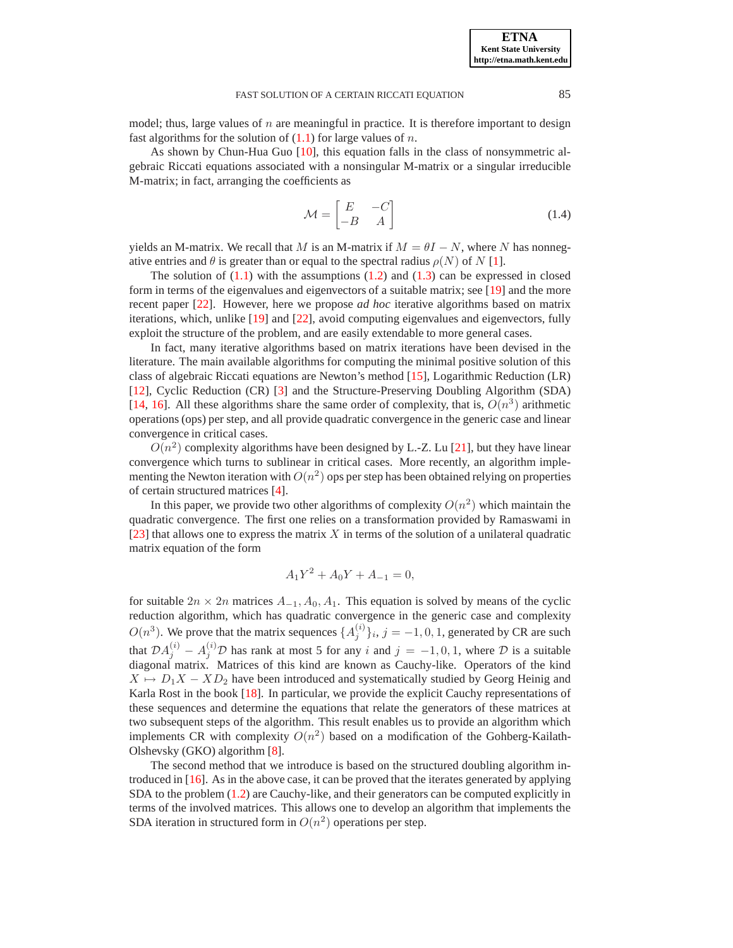model; thus, large values of  $n$  are meaningful in practice. It is therefore important to design fast algorithms for the solution of  $(1.1)$  for large values of n.

As shown by Chun-Hua Guo [\[10\]](#page-19-1), this equation falls in the class of nonsymmetric algebraic Riccati equations associated with a nonsingular M-matrix or a singular irreducible M-matrix; in fact, arranging the coefficients as

<span id="page-1-0"></span>
$$
\mathcal{M} = \begin{bmatrix} E & -C \\ -B & A \end{bmatrix} \tag{1.4}
$$

yields an M-matrix. We recall that M is an M-matrix if  $M = \theta I - N$ , where N has nonnegative entries and  $\theta$  is greater than or equal to the spectral radius  $\rho(N)$  of N [\[1\]](#page-19-2).

The solution of  $(1.1)$  with the assumptions  $(1.2)$  and  $(1.3)$  can be expressed in closed form in terms of the eigenvalues and eigenvectors of a suitable matrix; see [\[19](#page-19-0)] and the more recent paper [\[22\]](#page-20-0). However, here we propose *ad hoc* iterative algorithms based on matrix iterations, which, unlike [\[19](#page-19-0)] and [\[22\]](#page-20-0), avoid computing eigenvalues and eigenvectors, fully exploit the structure of the problem, and are easily extendable to more general cases.

In fact, many iterative algorithms based on matrix iterations have been devised in the literature. The main available algorithms for computing the minimal positive solution of this class of algebraic Riccati equations are Newton's method [\[15\]](#page-19-3), Logarithmic Reduction (LR) [\[12](#page-19-4)], Cyclic Reduction (CR) [\[3](#page-19-5)] and the Structure-Preserving Doubling Algorithm (SDA) [\[14](#page-19-6), [16\]](#page-19-7). All these algorithms share the same order of complexity, that is,  $O(n^3)$  arithmetic operations (ops) per step, and all provide quadratic convergence in the generic case and linear convergence in critical cases.

 $O(n^2)$  complexity algorithms have been designed by L.-Z. Lu [\[21](#page-19-8)], but they have linear convergence which turns to sublinear in critical cases. More recently, an algorithm implementing the Newton iteration with  $O(n^2)$  ops per step has been obtained relying on properties of certain structured matrices [\[4](#page-19-9)].

In this paper, we provide two other algorithms of complexity  $O(n^2)$  which maintain the quadratic convergence. The first one relies on a transformation provided by Ramaswami in  $[23]$  $[23]$  that allows one to express the matrix X in terms of the solution of a unilateral quadratic matrix equation of the form

$$
A_1 Y^2 + A_0 Y + A_{-1} = 0,
$$

for suitable  $2n \times 2n$  matrices  $A_{-1}$ ,  $A_0$ ,  $A_1$ . This equation is solved by means of the cyclic reduction algorithm, which has quadratic convergence in the generic case and complexity  $O(n^3)$ . We prove that the matrix sequences  $\{A_j^{(i)}\}_i$ ,  $j = -1, 0, 1$ , generated by CR are such that  $\mathcal{D}A_j^{(i)} - A_j^{(i)}\mathcal{D}$  has rank at most 5 for any i and  $j = -1, 0, 1$ , where  $\mathcal D$  is a suitable diagonal matrix. Matrices of this kind are known as Cauchy-like. Operators of the kind  $X \mapsto D_1X - XD_2$  have been introduced and systematically studied by Georg Heinig and Karla Rost in the book [\[18\]](#page-19-10). In particular, we provide the explicit Cauchy representations of these sequences and determine the equations that relate the generators of these matrices at two subsequent steps of the algorithm. This result enables us to provide an algorithm which implements CR with complexity  $O(n^2)$  based on a modification of the Gohberg-Kailath-Olshevsky (GKO) algorithm [\[8\]](#page-19-11).

The second method that we introduce is based on the structured doubling algorithm introduced in [\[16](#page-19-7)]. As in the above case, it can be proved that the iterates generated by applying SDA to the problem [\(1.2\)](#page-0-1) are Cauchy-like, and their generators can be computed explicitly in terms of the involved matrices. This allows one to develop an algorithm that implements the SDA iteration in structured form in  $O(n^2)$  operations per step.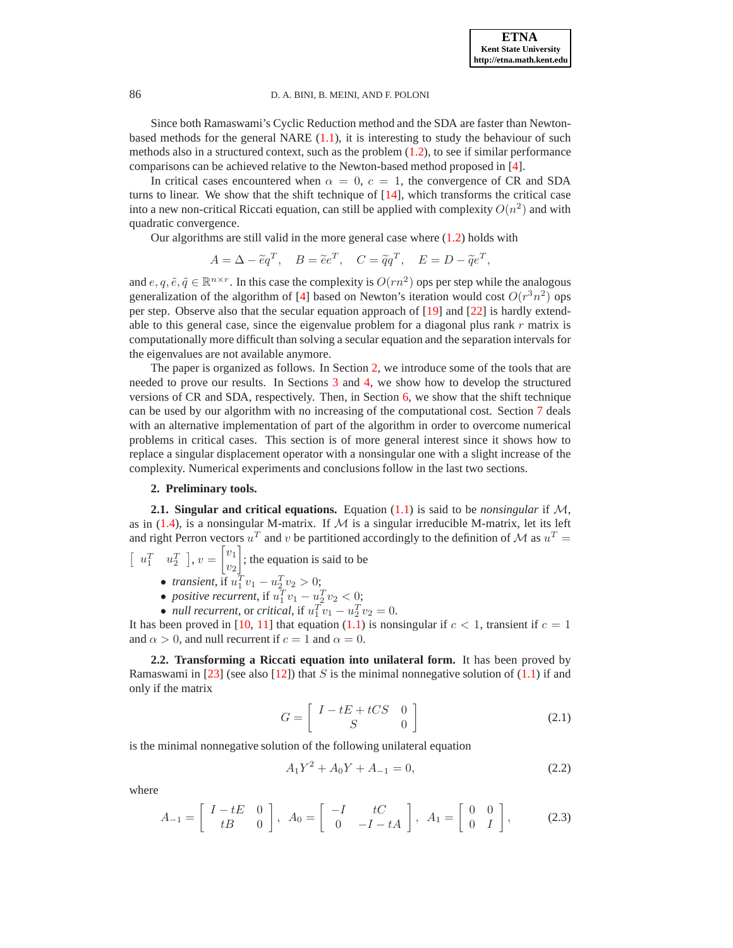Since both Ramaswami's Cyclic Reduction method and the SDA are faster than Newtonbased methods for the general NARE [\(1.1\)](#page-0-0), it is interesting to study the behaviour of such methods also in a structured context, such as the problem [\(1.2\)](#page-0-1), to see if similar performance comparisons can be achieved relative to the Newton-based method proposed in [\[4](#page-19-9)].

In critical cases encountered when  $\alpha = 0$ ,  $c = 1$ , the convergence of CR and SDA turns to linear. We show that the shift technique of  $[14]$ , which transforms the critical case into a new non-critical Riccati equation, can still be applied with complexity  $O(n^2)$  and with quadratic convergence.

Our algorithms are still valid in the more general case where [\(1.2\)](#page-0-1) holds with

$$
A = \Delta - \tilde{e}q^T, \quad B = \tilde{e}e^T, \quad C = \tilde{q}q^T, \quad E = D - \tilde{q}e^T,
$$

and  $e, q, \tilde{e}, \tilde{q} \in \mathbb{R}^{n \times r}$ . In this case the complexity is  $O(rn^2)$  ops per step while the analogous generalization of the algorithm of [\[4\]](#page-19-9) based on Newton's iteration would cost  $O(r^3n^2)$  ops per step. Observe also that the secular equation approach of [\[19\]](#page-19-0) and [\[22](#page-20-0)] is hardly extendable to this general case, since the eigenvalue problem for a diagonal plus rank  $r$  matrix is computationally more difficult than solving a secular equation and the separation intervals for the eigenvalues are not available anymore.

The paper is organized as follows. In Section [2,](#page-2-0) we introduce some of the tools that are needed to prove our results. In Sections [3](#page-6-0) and [4,](#page-12-0) we show how to develop the structured versions of CR and SDA, respectively. Then, in Section [6,](#page-14-0) we show that the shift technique can be used by our algorithm with no increasing of the computational cost. Section [7](#page-15-0) deals with an alternative implementation of part of the algorithm in order to overcome numerical problems in critical cases. This section is of more general interest since it shows how to replace a singular displacement operator with a nonsingular one with a slight increase of the complexity. Numerical experiments and conclusions follow in the last two sections.

### <span id="page-2-0"></span>**2. Preliminary tools.**

**2.1. Singular and critical equations.** Equation [\(1.1\)](#page-0-0) is said to be *nonsingular* if M, as in  $(1.4)$ , is a nonsingular M-matrix. If M is a singular irreducible M-matrix, let its left and right Perron vectors  $u^T$  and v be partitioned accordingly to the definition of M as  $u^T =$ 

$$
u_1^T
$$
  $u_2^T$   $]$ ,  $v = \begin{bmatrix} v_1 \\ v_2 \end{bmatrix}$ ; the equation is said to be

• *transient*, if  $u_1^T v_1 - u_2^T v_2 > 0$ ;

- *positive recurrent*, if  $u_1^Tv_1 u_2^Tv_2 < 0$ ;
- *null recurrent*, or *critical*, if  $u_1^T v_1 u_2^T v_2 = 0$ .

It has been proved in [\[10](#page-19-1), [11\]](#page-19-12) that equation [\(1.1\)](#page-0-0) is nonsingular if  $c < 1$ , transient if  $c = 1$ and  $\alpha > 0$ , and null recurrent if  $c = 1$  and  $\alpha = 0$ .

**2.2. Transforming a Riccati equation into unilateral form.** It has been proved by Ramaswami in [\[23\]](#page-20-1) (see also [\[12\]](#page-19-4)) that S is the minimal nonnegative solution of  $(1.1)$  if and only if the matrix

<span id="page-2-3"></span>
$$
G = \left[ \begin{array}{cc} I - tE + tCS & 0 \\ S & 0 \end{array} \right] \tag{2.1}
$$

is the minimal nonnegative solution of the following unilateral equation

<span id="page-2-1"></span>
$$
A_1 Y^2 + A_0 Y + A_{-1} = 0,\t\t(2.2)
$$

where

 $\sqrt{2}$ 

<span id="page-2-2"></span>
$$
A_{-1} = \begin{bmatrix} I - tE & 0 \\ tB & 0 \end{bmatrix}, A_0 = \begin{bmatrix} -I & tC \\ 0 & -I - tA \end{bmatrix}, A_1 = \begin{bmatrix} 0 & 0 \\ 0 & I \end{bmatrix},
$$
 (2.3)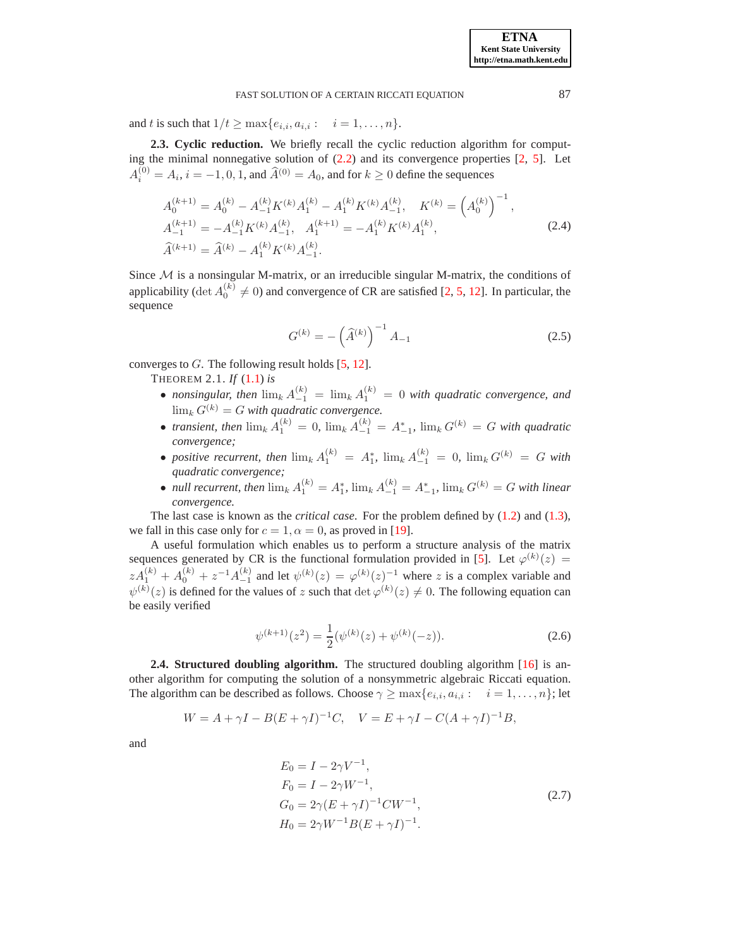and t is such that  $1/t \ge \max\{e_{i,i}, a_{i,i} : i = 1, \ldots, n\}.$ 

**2.3. Cyclic reduction.** We briefly recall the cyclic reduction algorithm for computing the minimal nonnegative solution of  $(2.2)$  and its convergence properties  $[2, 5]$  $[2, 5]$  $[2, 5]$  $[2, 5]$ . Let  $A_i^{(0)} = A_i$ ,  $i = -1, 0, 1$ , and  $\widehat{A}^{(0)} = A_0$ , and for  $k \ge 0$  define the sequences

<span id="page-3-0"></span>
$$
A_0^{(k+1)} = A_0^{(k)} - A_{-1}^{(k)} K^{(k)} A_1^{(k)} - A_1^{(k)} K^{(k)} A_{-1}^{(k)}, \quad K^{(k)} = \left(A_0^{(k)}\right)^{-1},
$$
  
\n
$$
A_{-1}^{(k+1)} = -A_{-1}^{(k)} K^{(k)} A_{-1}^{(k)}, \quad A_1^{(k+1)} = -A_1^{(k)} K^{(k)} A_1^{(k)},
$$
  
\n
$$
\widehat{A}^{(k+1)} = \widehat{A}^{(k)} - A_1^{(k)} K^{(k)} A_{-1}^{(k)}.
$$
\n(2.4)

Since  $M$  is a nonsingular M-matrix, or an irreducible singular M-matrix, the conditions of applicability (det  $A_0^{(k)} \neq 0$ ) and convergence of CR are satisfied [\[2,](#page-19-13) [5,](#page-19-14) [12\]](#page-19-4). In particular, the sequence

<span id="page-3-3"></span><span id="page-3-2"></span>
$$
G^{(k)} = -\left(\widehat{A}^{(k)}\right)^{-1} A_{-1}
$$
 (2.5)

converges to  $G$ . The following result holds [\[5,](#page-19-14) [12\]](#page-19-4).

THEOREM 2.1. *If* [\(1.1\)](#page-0-0) *is*

- *nonsingular, then*  $\lim_{k} A_{-1}^{(k)} = \lim_{k} A_{1}^{(k)} = 0$  *with quadratic convergence, and*  $\lim_{k} G^{(k)} = G$  with quadratic convergence.
- *transient, then*  $\lim_{k} A_1^{(k)} = 0$ ,  $\lim_{k} A_{-1}^{(k)} = A_{-1}^*$ ,  $\lim_{k} G^{(k)} = G$  *with quadratic convergence;*
- *positive recurrent, then*  $\lim_{k} A_1^{(k)} = A_1^*$ ,  $\lim_{k} A_{-1}^{(k)} = 0$ ,  $\lim_{k} G^{(k)} = G$  with *quadratic convergence;*
- *null recurrent, then*  $\lim_{k} A_1^{(k)} = A_1^*$ ,  $\lim_{k} A_{-1}^{(k)} = A_{-1}^*$ ,  $\lim_{k} G^{(k)} = G$  *with linear convergence.*

The last case is known as the *critical case*. For the problem defined by [\(1.2\)](#page-0-1) and [\(1.3\)](#page-0-2), we fall in this case only for  $c = 1$ ,  $\alpha = 0$ , as proved in [\[19\]](#page-19-0).

A useful formulation which enables us to perform a structure analysis of the matrix sequences generated by CR is the functional formulation provided in [\[5\]](#page-19-14). Let  $\varphi^{(k)}(z)$  =  $zA_1^{(k)} + A_0^{(k)} + z^{-1}A_{-1}^{(k)}$  and let  $\psi^{(k)}(z) = \varphi^{(k)}(z)^{-1}$  where z is a complex variable and  $\psi^{(k)}(z)$  is defined for the values of z such that  $\det \varphi^{(k)}(z) \neq 0$ . The following equation can be easily verified

<span id="page-3-1"></span>
$$
\psi^{(k+1)}(z^2) = \frac{1}{2}(\psi^{(k)}(z) + \psi^{(k)}(-z)).
$$
\n(2.6)

**2.4. Structured doubling algorithm.** The structured doubling algorithm [\[16\]](#page-19-7) is another algorithm for computing the solution of a nonsymmetric algebraic Riccati equation. The algorithm can be described as follows. Choose  $\gamma \ge \max\{e_{i,i}, a_{i,i} : i = 1, \ldots, n\}$ ; let

$$
W = A + \gamma I - B(E + \gamma I)^{-1}C, \quad V = E + \gamma I - C(A + \gamma I)^{-1}B,
$$

<span id="page-3-4"></span>and

$$
E_0 = I - 2\gamma V^{-1},
$$
  
\n
$$
F_0 = I - 2\gamma W^{-1},
$$
  
\n
$$
G_0 = 2\gamma (E + \gamma I)^{-1} C W^{-1},
$$
  
\n
$$
H_0 = 2\gamma W^{-1} B (E + \gamma I)^{-1}.
$$
\n(2.7)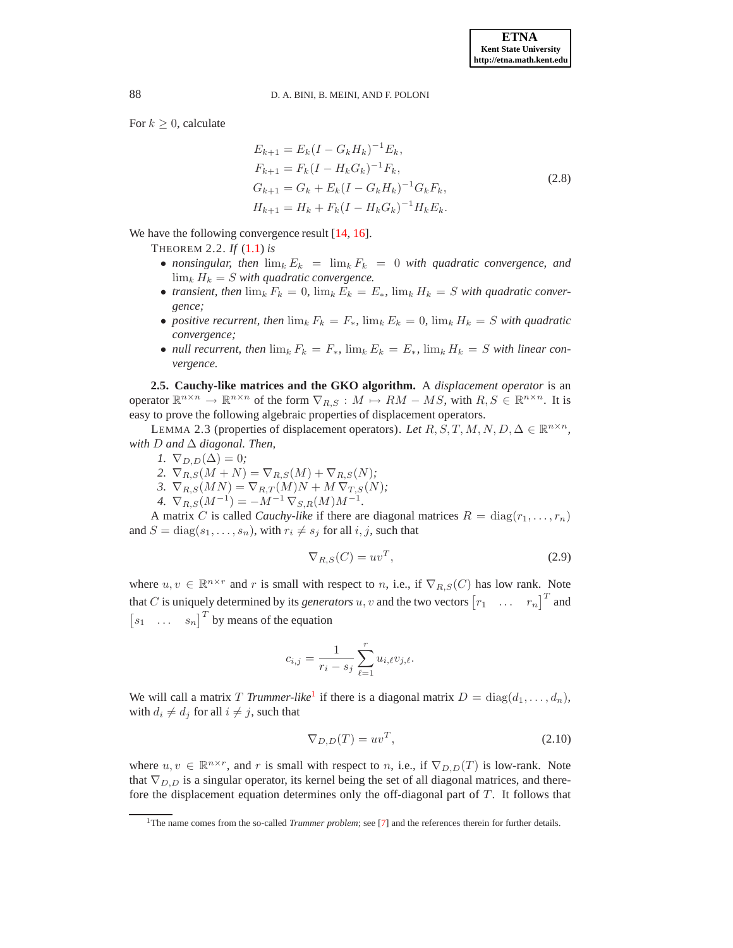<span id="page-4-5"></span>For  $k \geq 0$ , calculate

<span id="page-4-6"></span>
$$
E_{k+1} = E_k (I - G_k H_k)^{-1} E_k,
$$
  
\n
$$
F_{k+1} = F_k (I - H_k G_k)^{-1} F_k,
$$
  
\n
$$
G_{k+1} = G_k + E_k (I - G_k H_k)^{-1} G_k F_k,
$$
  
\n
$$
H_{k+1} = H_k + F_k (I - H_k G_k)^{-1} H_k E_k.
$$
\n(2.8)

We have the following convergence result [\[14](#page-19-6), [16](#page-19-7)].

- THEOREM 2.2. *If* [\(1.1\)](#page-0-0) *is*
	- *nonsingular, then*  $\lim_k E_k = \lim_k F_k = 0$  *with quadratic convergence, and*  $\lim_k H_k = S$  with quadratic convergence.
	- *transient, then*  $\lim_k F_k = 0$ ,  $\lim_k E_k = E_*$ ,  $\lim_k H_k = S$  *with quadratic convergence;*
	- *positive recurrent, then*  $\lim_{k} F_k = F_*$ ,  $\lim_{k} E_k = 0$ ,  $\lim_{k} H_k = S$  with quadratic *convergence;*
	- *null recurrent, then*  $\lim_k F_k = F_*$ ,  $\lim_k E_k = E_*$ ,  $\lim_k H_k = S$  with linear con*vergence.*

<span id="page-4-4"></span>**2.5. Cauchy-like matrices and the GKO algorithm.** A *displacement operator* is an operator  $\mathbb{R}^{n \times n} \to \mathbb{R}^{n \times n}$  of the form  $\nabla_{R,S}: M \mapsto RM - MS$ , with  $R, S \in \mathbb{R}^{n \times n}$ . It is easy to prove the following algebraic properties of displacement operators.

LEMMA 2.3 (properties of displacement operators). *Let*  $R, S, T, M, N, D, \Delta \in \mathbb{R}^{n \times n}$ , *with* D *and* ∆ *diagonal. Then,*

- *1.*  $\nabla_{D,D}(\Delta) = 0$ ;
- 2.  $\nabla_{R,S}(M+N) = \nabla_{R,S}(M) + \nabla_{R,S}(N)$ ;
- 3.  $\nabla_{R,S}(MN) = \nabla_{R,T}(M)N + M \nabla_{T,S}(N)$ ;
- *4.*  $\nabla_{R,S}(M^{-1}) = -M^{-1} \nabla_{S,R}(M)M^{-1}$ .

A matrix C is called *Cauchy-like* if there are diagonal matrices  $R = \text{diag}(r_1, \ldots, r_n)$ and  $S = diag(s_1, \ldots, s_n)$ , with  $r_i \neq s_j$  for all  $i, j$ , such that

<span id="page-4-3"></span><span id="page-4-1"></span>
$$
\nabla_{R,S}(C) = uv^T,\tag{2.9}
$$

where  $u, v \in \mathbb{R}^{n \times r}$  and r is small with respect to n, i.e., if  $\nabla_{R,S}(C)$  has low rank. Note that C is uniquely determined by its *generators* u, v and the two vectors  $\begin{bmatrix} r_1 & \dots & r_n \end{bmatrix}^T$  and  $\begin{bmatrix} s_1 & \dots & s_n \end{bmatrix}^T$  by means of the equation

$$
c_{i,j} = \frac{1}{r_i - s_j} \sum_{\ell=1}^r u_{i,\ell} v_{j,\ell}.
$$

We will call a matrix *T Trummer-like*<sup>[1](#page-4-0)</sup> if there is a diagonal matrix  $D = \text{diag}(d_1, \ldots, d_n)$ , with  $d_i \neq d_j$  for all  $i \neq j$ , such that

<span id="page-4-2"></span>
$$
\nabla_{D,D}(T) = uv^T,\tag{2.10}
$$

where  $u, v \in \mathbb{R}^{n \times r}$ , and r is small with respect to n, i.e., if  $\nabla_{D,D}(T)$  is low-rank. Note that  $\nabla_{D,D}$  is a singular operator, its kernel being the set of all diagonal matrices, and therefore the displacement equation determines only the off-diagonal part of  $T$ . It follows that

<span id="page-4-0"></span><sup>&</sup>lt;sup>1</sup>The name comes from the so-called *Trummer problem*; see [\[7](#page-19-15)] and the references therein for further details.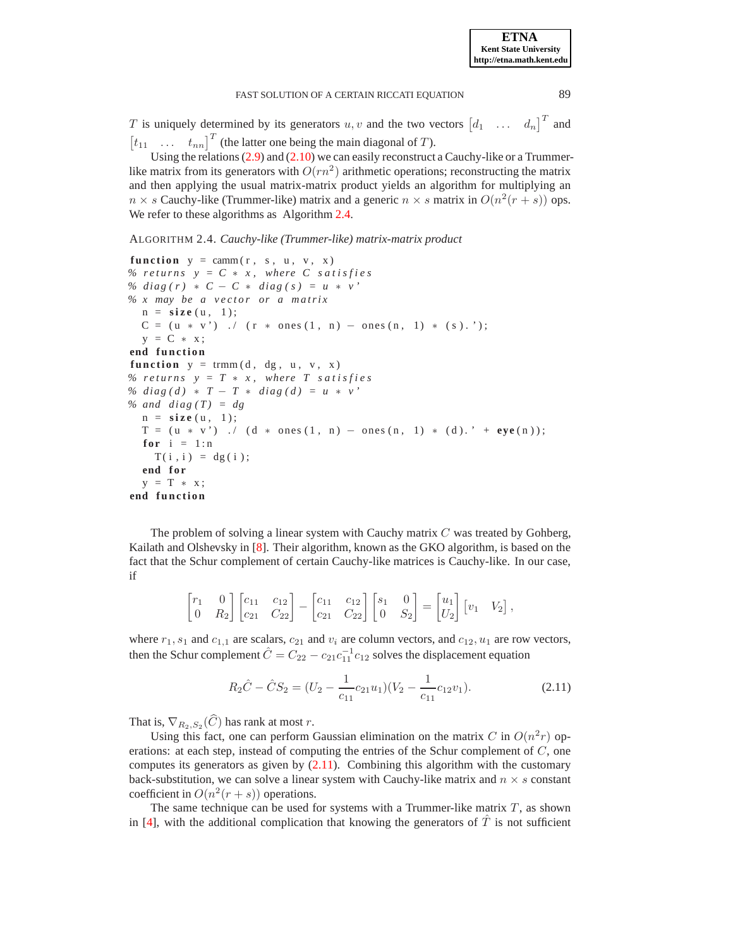T is uniquely determined by its generators  $u, v$  and the two vectors  $\begin{bmatrix} d_1 & \dots & d_n \end{bmatrix}^T$  and  $[t_{11} \dots t_{nn}]^T$  (the latter one being the main diagonal of T).

Using the relations [\(2.9\)](#page-4-1) and [\(2.10\)](#page-4-2) we can easily reconstruct a Cauchy-like or a Trummerlike matrix from its generators with  $O(rn^2)$  arithmetic operations; reconstructing the matrix and then applying the usual matrix-matrix product yields an algorithm for multiplying an  $n \times s$  Cauchy-like (Trummer-like) matrix and a generic  $n \times s$  matrix in  $O(n^2(r+s))$  ops. We refer to these algorithms as Algorithm [2.4.](#page-5-0)

#### <span id="page-5-0"></span>ALGORITHM 2.4. *Cauchy-like (Trummer-like) matrix-matrix product*

```
function y = \text{camm}(r, s, u, v, x)% returns y = C * x, where C satisfies
% diag(r) \angle C − C \angle diag(s) = u \angle v
% x may be a vector or a matrix
  n =size (u, 1);
  C = (u * v') ./ (r * ones(1, n) - ones(n, 1) * (s).y = C * x:
end function
function y = \text{trmm}(d, dg, u, v, x)% returns y = T * x, where T satisfies
\% diag(d) * T − T * diag(d) = u * v
% and diag(T) = dg
  n = s i z e ( u , 1 ) ;
  T = (u * v') ./ (d * ones(1, n) - ones(n, 1) * (d).' + eye(n));for i = 1:nT(i, i) = dg(i);end for
  y = T * x;end function
```
The problem of solving a linear system with Cauchy matrix  $C$  was treated by Gohberg, Kailath and Olshevsky in [\[8](#page-19-11)]. Their algorithm, known as the GKO algorithm, is based on the fact that the Schur complement of certain Cauchy-like matrices is Cauchy-like. In our case, if

$$
\begin{bmatrix} r_1 & 0 \ 0 & R_2 \end{bmatrix} \begin{bmatrix} c_{11} & c_{12} \ c_{21} & C_{22} \end{bmatrix} - \begin{bmatrix} c_{11} & c_{12} \ c_{21} & C_{22} \end{bmatrix} \begin{bmatrix} s_1 & 0 \ 0 & S_2 \end{bmatrix} = \begin{bmatrix} u_1 \ u_2 \end{bmatrix} \begin{bmatrix} v_1 & V_2 \end{bmatrix},
$$

where  $r_1$ ,  $s_1$  and  $c_{1,1}$  are scalars,  $c_{21}$  and  $v_i$  are column vectors, and  $c_{12}$ ,  $u_1$  are row vectors, then the Schur complement  $\hat{C} = C_{22} - c_{21}c_{11}^{-1}c_{12}$  solves the displacement equation

<span id="page-5-1"></span>
$$
R_2\hat{C} - \hat{C}S_2 = (U_2 - \frac{1}{c_{11}}c_{21}u_1)(V_2 - \frac{1}{c_{11}}c_{12}v_1).
$$
 (2.11)

That is,  $\nabla_{R_2, S_2}(C)$  has rank at most r.

Using this fact, one can perform Gaussian elimination on the matrix C in  $O(n^2r)$  operations: at each step, instead of computing the entries of the Schur complement of  $C$ , one computes its generators as given by  $(2.11)$ . Combining this algorithm with the customary back-substitution, we can solve a linear system with Cauchy-like matrix and  $n \times s$  constant coefficient in  $O(n^2(r+s))$  operations.

The same technique can be used for systems with a Trummer-like matrix  $T$ , as shown in [\[4\]](#page-19-9), with the additional complication that knowing the generators of  $\hat{T}$  is not sufficient

**ETNA Kent State University http://etna.math.kent.edu**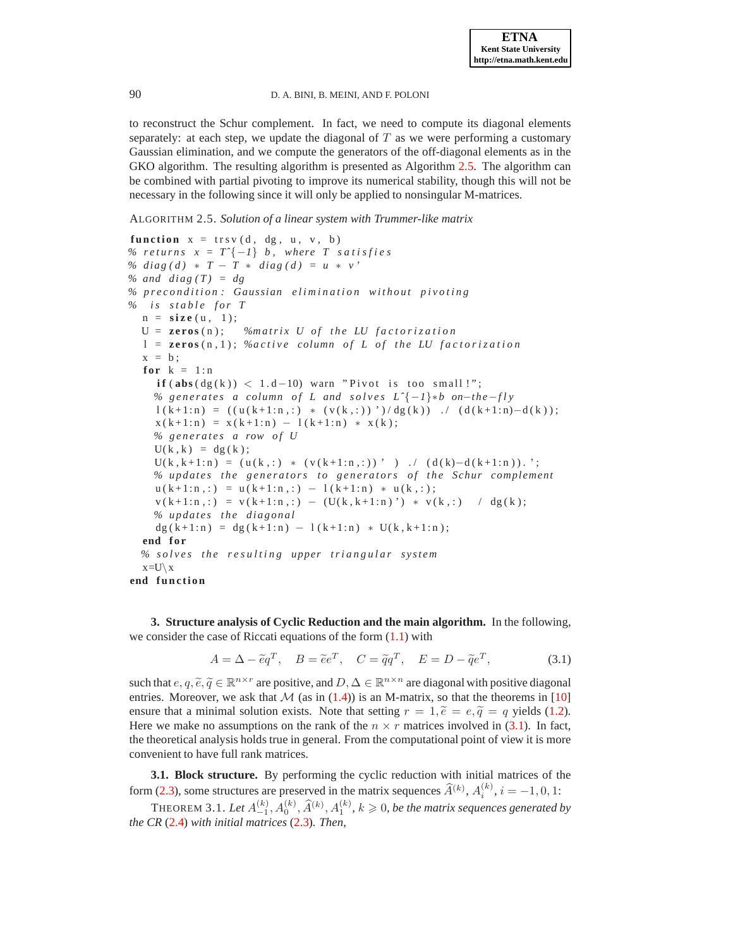to reconstruct the Schur complement. In fact, we need to compute its diagonal elements separately: at each step, we update the diagonal of  $T$  as we were performing a customary Gaussian elimination, and we compute the generators of the off-diagonal elements as in the GKO algorithm. The resulting algorithm is presented as Algorithm [2.5.](#page-6-1) The algorithm can be combined with partial pivoting to improve its numerical stability, though this will not be necessary in the following since it will only be applied to nonsingular M-matrices.

<span id="page-6-1"></span>ALGORITHM 2.5. *Solution of a linear system with Trummer-like matrix*

```
function x = trsv(d, dg, u, v, b)% returns x = T^{-}{-1} b, where T satisfies
% diag(d) * T - T * diag(d) = u * v'% and diag(T) = dg
% p r e c o n d i t i o n : Gaussian e l i m i n a t i o n w i t h o u t p i v o t i n g
% i s s t a b l e f o r T
  n =size (u, 1);
  U = \text{zeros}(n); %matrix U of the LU factorization
  l = \text{zeros}(n, 1); \%active column of L of the LU factorization
  x = b;
  for k = 1:n\textbf{if} \left( \textbf{abs} \left( \text{dg} \left( k \right) \right) \right. < 1.d-10) warn "Pivot is too small!";
     % generates a column of L and solves L^{2}(-1)*b on-the-fly
     l(k+1:n) = ((u(k+1:n,:)* (v(k,:)))')/dg(k)). / (d(k+1:n)-d(k));x ( k + 1:n ) = x ( k + 1:n ) - 1 ( k + 1:n ) * x ( k );
     % generates a row of U
     U(k, k) = dg(k);U(k, k+1:n) = (u(k, :) * (v(k+1:n, :))' ) ./ (d(k)-d(k+1:n)).';
     % u p d a t e s t h e g e n e r a t o r s t o g e n e r a t o r s o f t h e Schur complement
     u(k+1:n,:) = u(k+1:n,:) - 1(k+1:n) * u(k,:);
     v(k+1:n,:) = v(k+1:n,:) - (U(k, k+1:n)') * v(k,:) / dg(k);% updates the diagonal
     dg ( k+1:n ) = dg ( k+1:n ) - 1 ( k+1:n ) * U ( k, k+1:n );
  end for
  % s o l v e s t h e r e s u l t i n g upper t r i a n g u l a r s y s t e m
  x=U\setminus xend function
```
<span id="page-6-0"></span>**3. Structure analysis of Cyclic Reduction and the main algorithm.** In the following, we consider the case of Riccati equations of the form  $(1.1)$  with

<span id="page-6-2"></span>
$$
A = \Delta - \tilde{e}q^T, \quad B = \tilde{e}e^T, \quad C = \tilde{q}q^T, \quad E = D - \tilde{q}e^T,\tag{3.1}
$$

such that  $e, q, \tilde{e}, \tilde{q} \in \mathbb{R}^{n \times r}$  are positive, and  $D, \Delta \in \mathbb{R}^{n \times n}$  are diagonal with positive diagonal entries. Moreover, we ask that  $M$  (as in [\(1.4\)](#page-1-0)) is an M-matrix, so that the theorems in [\[10\]](#page-19-1) ensure that a minimal solution exists. Note that setting  $r = 1$ ,  $\tilde{e} = e$ ,  $\tilde{q} = q$  yields [\(1.2\)](#page-0-1). Here we make no assumptions on the rank of the  $n \times r$  matrices involved in [\(3.1\)](#page-6-2). In fact, the theoretical analysis holds true in general. From the computational point of view it is more convenient to have full rank matrices.

**3.1. Block structure.** By performing the cyclic reduction with initial matrices of the form [\(2.3\)](#page-2-2), some structures are preserved in the matrix sequences  $\hat{A}^{(k)}$ ,  $A_i^{(k)}$ ,  $i = -1, 0, 1$ :

<span id="page-6-3"></span>THEOREM 3.1. Let  $A_{-1}^{(k)}, A_0^{(k)}, \widehat{A}^{(k)}, A_1^{(k)}, k \geqslant 0$ , be the matrix sequences generated by *the CR* [\(2.4\)](#page-3-0) *with initial matrices* [\(2.3\)](#page-2-2)*. Then,*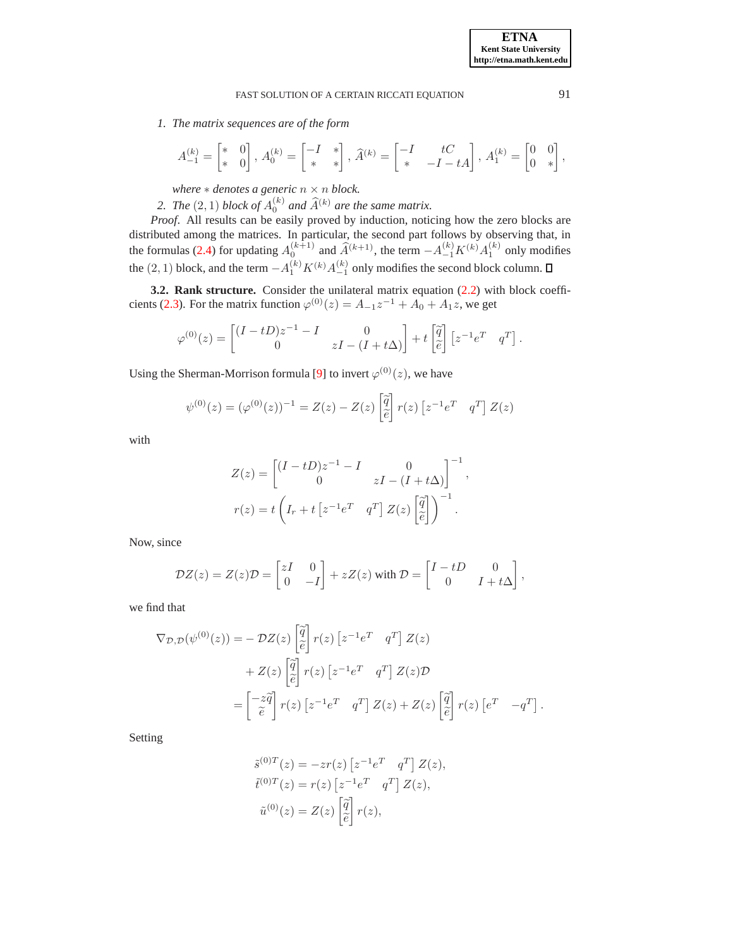*1. The matrix sequences are of the form*

$$
A_{-1}^{(k)}=\begin{bmatrix} * & 0\\ * & 0 \end{bmatrix},\, A_{0}^{(k)}=\begin{bmatrix} -I & *\\ * & * \end{bmatrix},\, \widehat{A}^{(k)}=\begin{bmatrix} -I & tC\\ * & -I-tA \end{bmatrix},\, A_{1}^{(k)}=\begin{bmatrix} 0 & 0\\ 0 & * \end{bmatrix},
$$

*where*  $*$  *denotes a generic*  $n \times n$  *block.* 

2. The  $(2, 1)$  block of  $A_0^{(k)}$  and  $\widehat{A}^{(k)}$  are the same matrix.

*Proof*. All results can be easily proved by induction, noticing how the zero blocks are distributed among the matrices. In particular, the second part follows by observing that, in the formulas [\(2.4\)](#page-3-0) for updating  $A_0^{(k+1)}$  and  $\widehat{A}^{(k+1)}$ , the term  $-A_{-1}^{(k)}K^{(k)}A_1^{(k)}$  only modifies the  $(2, 1)$  block, and the term  $-A_1^{(k)}K^{(k)}A_{-1}^{(k)}$  only modifies the second block column.

**3.2. Rank structure.** Consider the unilateral matrix equation [\(2.2\)](#page-2-1) with block coeffi-cients [\(2.3\)](#page-2-2). For the matrix function  $\varphi^{(0)}(z) = A_{-1}z^{-1} + A_0 + A_1z$ , we get

$$
\varphi^{(0)}(z) = \begin{bmatrix} (I - tD)z^{-1} - I & 0 \\ 0 & zI - (I + t\Delta) \end{bmatrix} + t \begin{bmatrix} \tilde{q} \\ \tilde{e} \end{bmatrix} [z^{-1}e^T \ q^T].
$$

Using the Sherman-Morrison formula [\[9\]](#page-19-16) to invert  $\varphi^{(0)}(z)$ , we have

$$
\psi^{(0)}(z) = (\varphi^{(0)}(z))^{-1} = Z(z) - Z(z) \left[\tilde{\hat{q}}\right] r(z) \left[z^{-1}e^T q^T\right] Z(z)
$$

with

$$
Z(z) = \begin{bmatrix} (I - tD)z^{-1} - I & 0\\ 0 & zI - (I + t\Delta) \end{bmatrix}^{-1},
$$
  

$$
r(z) = t \left( I_r + t \left[ z^{-1}e^T & q^T \right] Z(z) \left[ \frac{\tilde{q}}{\tilde{e}} \right] \right)^{-1}.
$$

Now, since

$$
\mathcal{D}Z(z) = Z(z)\mathcal{D} = \begin{bmatrix} zI & 0 \\ 0 & -I \end{bmatrix} + zZ(z) \text{ with } \mathcal{D} = \begin{bmatrix} I - tD & 0 \\ 0 & I + t\Delta \end{bmatrix},
$$

we find that

$$
\nabla_{\mathcal{D},\mathcal{D}}(\psi^{(0)}(z)) = -\mathcal{D}Z(z) \begin{bmatrix} \widetilde{q} \\ \widetilde{e} \end{bmatrix} r(z) \begin{bmatrix} z^{-1}e^T & q^T \end{bmatrix} Z(z)
$$

$$
+ Z(z) \begin{bmatrix} \widetilde{q} \\ \widetilde{e} \end{bmatrix} r(z) \begin{bmatrix} z^{-1}e^T & q^T \end{bmatrix} Z(z) \mathcal{D}
$$

$$
= \begin{bmatrix} -z\widetilde{q} \\ \widetilde{e} \end{bmatrix} r(z) \begin{bmatrix} z^{-1}e^T & q^T \end{bmatrix} Z(z) + Z(z) \begin{bmatrix} \widetilde{q} \\ \widetilde{e} \end{bmatrix} r(z) \begin{bmatrix} e^T & -q^T \end{bmatrix}.
$$

Setting

$$
\tilde{s}^{(0)T}(z) = -zr(z) \left[ z^{-1} e^T \quad q^T \right] Z(z),
$$
  
\n
$$
\tilde{t}^{(0)T}(z) = r(z) \left[ z^{-1} e^T \quad q^T \right] Z(z),
$$
  
\n
$$
\tilde{u}^{(0)}(z) = Z(z) \left[ \tilde{q} \atop \tilde{e} \right] r(z),
$$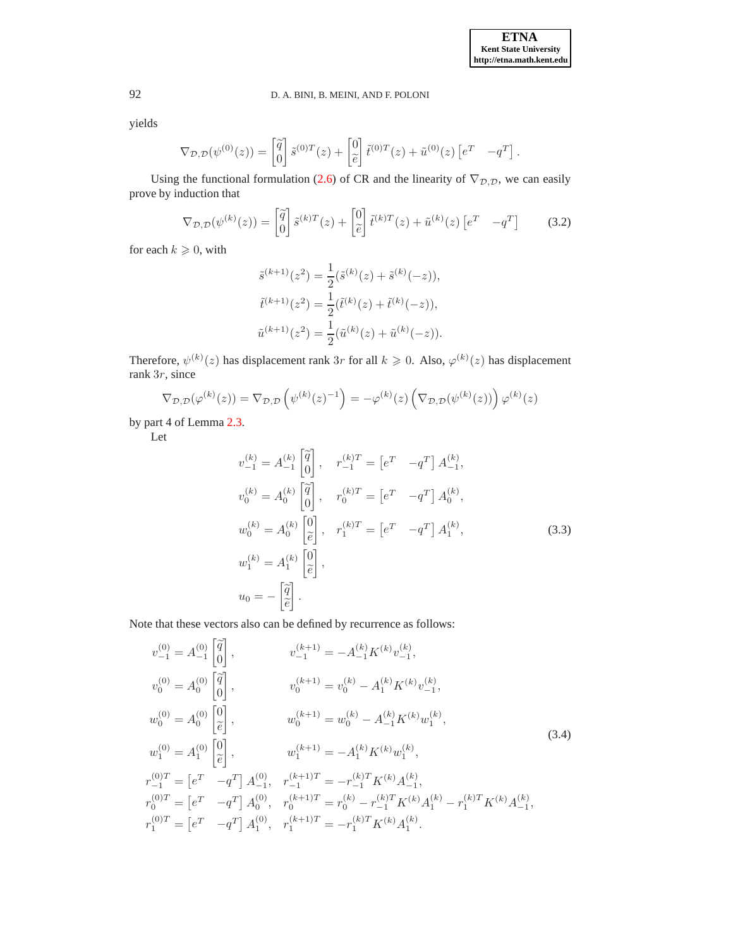yields

$$
\nabla_{\mathcal{D},\mathcal{D}}(\psi^{(0)}(z)) = \begin{bmatrix} \widetilde{q} \\ 0 \end{bmatrix} \widetilde{s}^{(0)T}(z) + \begin{bmatrix} 0 \\ \widetilde{e} \end{bmatrix} \widetilde{t}^{(0)T}(z) + \widetilde{u}^{(0)}(z) \begin{bmatrix} e^T & -q^T \end{bmatrix}.
$$

Using the functional formulation [\(2.6\)](#page-3-1) of CR and the linearity of  $\nabla_{\mathcal{D},\mathcal{D}}$ , we can easily prove by induction that

$$
\nabla_{\mathcal{D},\mathcal{D}}(\psi^{(k)}(z)) = \begin{bmatrix} \tilde{q} \\ 0 \end{bmatrix} \tilde{s}^{(k)T}(z) + \begin{bmatrix} 0 \\ \tilde{e} \end{bmatrix} \tilde{t}^{(k)T}(z) + \tilde{u}^{(k)}(z) \begin{bmatrix} e^T & -q^T \end{bmatrix}
$$
(3.2)

for each  $k\geqslant 0,$  with

$$
\tilde{s}^{(k+1)}(z^2) = \frac{1}{2}(\tilde{s}^{(k)}(z) + \tilde{s}^{(k)}(-z)),
$$
  

$$
\tilde{t}^{(k+1)}(z^2) = \frac{1}{2}(\tilde{t}^{(k)}(z) + \tilde{t}^{(k)}(-z)),
$$
  

$$
\tilde{u}^{(k+1)}(z^2) = \frac{1}{2}(\tilde{u}^{(k)}(z) + \tilde{u}^{(k)}(-z)).
$$

Therefore,  $\psi^{(k)}(z)$  has displacement rank 3r for all  $k \geq 0$ . Also,  $\varphi^{(k)}(z)$  has displacement rank 3r, since

$$
\nabla_{\mathcal{D},\mathcal{D}}(\varphi^{(k)}(z)) = \nabla_{\mathcal{D},\mathcal{D}}\left(\psi^{(k)}(z)^{-1}\right) = -\varphi^{(k)}(z)\left(\nabla_{\mathcal{D},\mathcal{D}}(\psi^{(k)}(z))\right)\varphi^{(k)}(z)
$$

by part 4 of Lemma [2.3.](#page-4-3)

Let

<span id="page-8-0"></span>
$$
v_{-1}^{(k)} = A_{-1}^{(k)} \begin{bmatrix} \tilde{q} \\ 0 \end{bmatrix}, \quad r_{-1}^{(k)T} = \begin{bmatrix} e^T & -q^T \end{bmatrix} A_{-1}^{(k)},
$$
  
\n
$$
v_0^{(k)} = A_0^{(k)} \begin{bmatrix} \tilde{q} \\ 0 \end{bmatrix}, \quad r_0^{(k)T} = \begin{bmatrix} e^T & -q^T \end{bmatrix} A_0^{(k)},
$$
  
\n
$$
w_0^{(k)} = A_0^{(k)} \begin{bmatrix} 0 \\ \tilde{e} \end{bmatrix}, \quad r_1^{(k)T} = \begin{bmatrix} e^T & -q^T \end{bmatrix} A_1^{(k)},
$$
  
\n
$$
w_1^{(k)} = A_1^{(k)} \begin{bmatrix} 0 \\ \tilde{e} \end{bmatrix},
$$
  
\n
$$
u_0 = -\begin{bmatrix} \tilde{q} \\ \tilde{e} \end{bmatrix}.
$$
  
\n(3.3)

Note that these vectors also can be defined by recurrence as follows:

<span id="page-8-1"></span>
$$
v_{-1}^{(0)} = A_{-1}^{(0)} \begin{bmatrix} \tilde{q} \\ 0 \end{bmatrix}, \qquad v_{-1}^{(k+1)} = -A_{-1}^{(k)} K^{(k)} v_{-1}^{(k)},
$$
  
\n
$$
v_0^{(0)} = A_0^{(0)} \begin{bmatrix} \tilde{q} \\ 0 \end{bmatrix}, \qquad v_0^{(k+1)} = v_0^{(k)} - A_1^{(k)} K^{(k)} v_{-1}^{(k)},
$$
  
\n
$$
w_0^{(0)} = A_0^{(0)} \begin{bmatrix} 0 \\ \tilde{e} \end{bmatrix}, \qquad w_0^{(k+1)} = w_0^{(k)} - A_{-1}^{(k)} K^{(k)} w_1^{(k)},
$$
  
\n
$$
w_1^{(0)} = A_1^{(0)} \begin{bmatrix} 0 \\ \tilde{e} \end{bmatrix}, \qquad w_1^{(k+1)} = -A_1^{(k)} K^{(k)} w_1^{(k)},
$$
  
\n
$$
r_{-1}^{(0)T} = \begin{bmatrix} e^T & -q^T \end{bmatrix} A_{-1}^{(0)}, \qquad r_{-1}^{(k+1)T} = -r_{-1}^{(k)T} K^{(k)} A_{-1}^{(k)},
$$
  
\n
$$
r_0^{(0)T} = \begin{bmatrix} e^T & -q^T \end{bmatrix} A_0^{(0)}, \qquad r_0^{(k+1)T} = r_0^{(k)} - r_{-1}^{(k)T} K^{(k)} A_1^{(k)} - r_1^{(k)T} K^{(k)} A_{-1}^{(k)},
$$
  
\n
$$
r_1^{(0)T} = \begin{bmatrix} e^T & -q^T \end{bmatrix} A_1^{(0)}, \qquad r_1^{(k+1)T} = -r_1^{(k)T} K^{(k)} A_1^{(k)}.
$$
  
\n(3.4)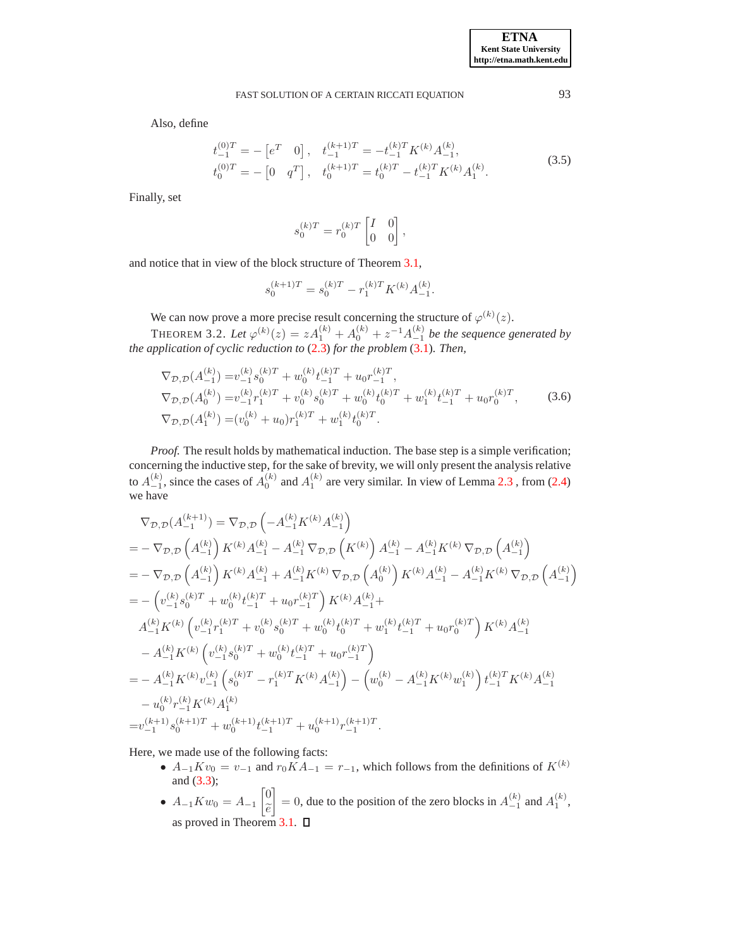Also, define

<span id="page-9-0"></span>
$$
t_{-1}^{(0)T} = -\begin{bmatrix} e^T & 0 \end{bmatrix}, \quad t_{-1}^{(k+1)T} = -t_{-1}^{(k)T} K^{(k)} A_{-1}^{(k)},
$$
  
\n
$$
t_0^{(0)T} = -\begin{bmatrix} 0 & q^T \end{bmatrix}, \quad t_0^{(k+1)T} = t_0^{(k)T} - t_{-1}^{(k)T} K^{(k)} A_1^{(k)}.
$$
\n(3.5)

Finally, set

$$
s_0^{(k)T}=r_0^{(k)T}\begin{bmatrix} I & 0 \\ 0 & 0 \end{bmatrix},
$$

and notice that in view of the block structure of Theorem [3.1,](#page-6-3)

$$
s_0^{(k+1)T} = s_0^{(k)T} - r_1^{(k)T} K^{(k)} A_{-1}^{(k)}.
$$

We can now prove a more precise result concerning the structure of  $\varphi^{(k)}(z)$ .

THEOREM 3.2. Let  $\varphi^{(k)}(z) = z A_1^{(k)} + A_0^{(k)} + z^{-1} A_{-1}^{(k)}$  be the sequence generated by *the application of cyclic reduction to* [\(2.3\)](#page-2-2) *for the problem* [\(3.1\)](#page-6-2)*. Then,*

<span id="page-9-1"></span>
$$
\nabla_{\mathcal{D},\mathcal{D}}(A_{-1}^{(k)}) = v_{-1}^{(k)} s_0^{(k)T} + w_0^{(k)} t_{-1}^{(k)T} + u_0 r_{-1}^{(k)T},
$$
\n
$$
\nabla_{\mathcal{D},\mathcal{D}}(A_0^{(k)}) = v_{-1}^{(k)} r_1^{(k)T} + v_0^{(k)} s_0^{(k)T} + w_0^{(k)} t_0^{(k)T} + w_1^{(k)} t_{-1}^{(k)T} + u_0 r_0^{(k)T},
$$
\n
$$
\nabla_{\mathcal{D},\mathcal{D}}(A_1^{(k)}) = (v_0^{(k)} + u_0) r_1^{(k)T} + w_1^{(k)} t_0^{(k)T}.
$$
\n(3.6)

*Proof.* The result holds by mathematical induction. The base step is a simple verification; concerning the inductive step, for the sake of brevity, we will only present the analysis relative to  $A_{-1}^{(k)}$ , since the cases of  $A_0^{(k)}$  and  $A_1^{(k)}$  are very similar. In view of Lemma [2.3](#page-4-3), from [\(2.4\)](#page-3-0) we have

$$
\nabla_{\mathcal{D},\mathcal{D}}(A_{-1}^{(k+1)}) = \nabla_{\mathcal{D},\mathcal{D}}\left(-A_{-1}^{(k)}K^{(k)}A_{-1}^{(k)}\right)
$$
\n
$$
= -\nabla_{\mathcal{D},\mathcal{D}}\left(A_{-1}^{(k)}\right)K^{(k)}A_{-1}^{(k)} - A_{-1}^{(k)}\nabla_{\mathcal{D},\mathcal{D}}\left(K^{(k)}\right)A_{-1}^{(k)} - A_{-1}^{(k)}K^{(k)}\nabla_{\mathcal{D},\mathcal{D}}\left(A_{-1}^{(k)}\right)
$$
\n
$$
= -\nabla_{\mathcal{D},\mathcal{D}}\left(A_{-1}^{(k)}\right)K^{(k)}A_{-1}^{(k)} + A_{-1}^{(k)}K^{(k)}\nabla_{\mathcal{D},\mathcal{D}}\left(A_{0}^{(k)}\right)K^{(k)}A_{-1}^{(k)} - A_{-1}^{(k)}K^{(k)}\nabla_{\mathcal{D},\mathcal{D}}\left(A_{-1}^{(k)}\right)
$$
\n
$$
= -\left(v_{-1}^{(k)}s_{0}^{(k)T} + w_{0}^{(k)}t_{-1}^{(k)T} + u_{0}r_{-1}^{(k)T}\right)K^{(k)}A_{-1}^{(k)} +
$$
\n
$$
A_{-1}^{(k)}K^{(k)}\left(v_{-1}^{(k)}r_{1}^{(k)T} + v_{0}^{(k)}s_{0}^{(k)T} + w_{0}^{(k)}t_{0}^{(k)T} + w_{1}^{(k)}t_{-1}^{(k)T} + u_{0}r_{0}^{(k)T}\right)K^{(k)}A_{-1}^{(k)}
$$
\n
$$
- A_{-1}^{(k)}K^{(k)}\left(v_{-1}^{(k)}s_{0}^{(k)T} + w_{0}^{(k)}t_{-1}^{(k)T} + u_{0}r_{-1}^{(k)T}\right)
$$
\n
$$
= - A_{-1}^{(k)}K^{(k)}v_{-1}^{(k)}\left(s_{0}^{(k)T} - r_{1}^{(k)T}K^{(k)}A_{-1}^{(k)}\right
$$

Here, we made use of the following facts:

- $A_{-1}Kv_0 = v_{-1}$  and  $r_0\tilde{K}A_{-1} = r_{-1}$ , which follows from the definitions of  $K^{(k)}$ and [\(3.3\)](#page-8-0);
- $A_{-1}Kw_0 = A_{-1}$  $\lceil 0$  $\widetilde{e}$ 1 = 0, due to the position of the zero blocks in  $A_{-1}^{(k)}$  and  $A_1^{(k)}$ , as proved in Theorem [3.1.](#page-6-3)  $\Box$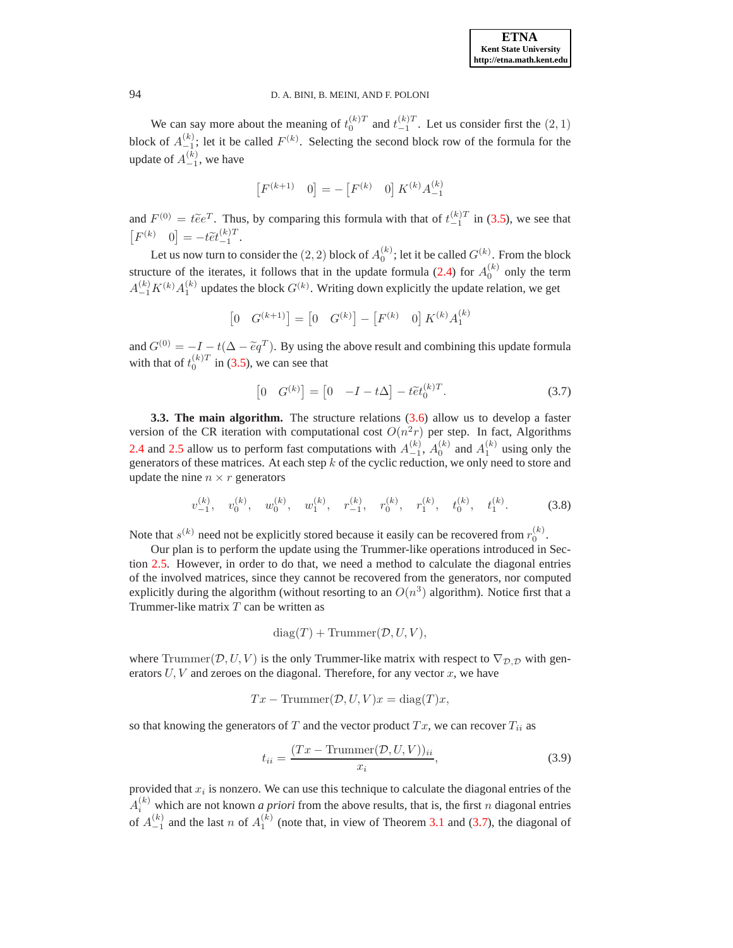We can say more about the meaning of  $t_0^{(k)T}$  and  $t_{-1}^{(k)T}$ . Let us consider first the  $(2, 1)$ block of  $A_{-1}^{(k)}$ ; let it be called  $F^{(k)}$ . Selecting the second block row of the formula for the update of  $A_{-1}^{(k)}$ , we have

$$
\begin{bmatrix} F^{(k+1)} & 0 \end{bmatrix} = - \begin{bmatrix} F^{(k)} & 0 \end{bmatrix} K^{(k)} A_{-1}^{(k)}
$$

and  $F^{(0)} = t\tilde{e}e^T$ . Thus, by comparing this formula with that of  $t_{-1}^{(k)T}$  in [\(3.5\)](#page-9-0), we see that  $\begin{bmatrix} F^{(k)} & 0 \end{bmatrix} = -t \widetilde{e} t_{-1}^{(k)T}.$ 

Let us now turn to consider the  $(2,2)$  block of  $A_0^{(k)}$ ; let it be called  $G^{(k)}$ . From the block structure of the iterates, it follows that in the update formula [\(2.4\)](#page-3-0) for  $A_0^{(k)}$  only the term  $A_{-1}^{(k)}K^{(k)}A_1^{(k)}$  updates the block  $G^{(k)}$ . Writing down explicitly the update relation, we get

$$
\begin{bmatrix} 0 & G^{(k+1)} \end{bmatrix} = \begin{bmatrix} 0 & G^{(k)} \end{bmatrix} - \begin{bmatrix} F^{(k)} & 0 \end{bmatrix} K^{(k)} A_1^{(k)}
$$

and  $G^{(0)} = -I - t(\Delta - \tilde{e}q^T)$ . By using the above result and combining this update formula with that of  $t_0^{(k)T}$  in [\(3.5\)](#page-9-0), we can see that

<span id="page-10-0"></span>
$$
\left[0 \quad G^{(k)}\right] = \left[0 \quad -I - t\Delta\right] - t\tilde{e}t_0^{(k)T}.\tag{3.7}
$$

**3.3. The main algorithm.** The structure relations [\(3.6\)](#page-9-1) allow us to develop a faster version of the CR iteration with computational cost  $O(n^2r)$  per step. In fact, Algorithms [2.4](#page-5-0) and [2.5](#page-6-1) allow us to perform fast computations with  $A_{-1}^{(k)}$ ,  $A_0^{(k)}$  and  $A_1^{(k)}$  using only the generators of these matrices. At each step  $\vec{k}$  of the cyclic reduction, we only need to store and update the nine  $n \times r$  generators

<span id="page-10-2"></span>
$$
v_{-1}^{(k)}, \quad v_0^{(k)}, \quad w_0^{(k)}, \quad w_1^{(k)}, \quad r_{-1}^{(k)}, \quad r_0^{(k)}, \quad r_1^{(k)}, \quad t_0^{(k)}, \quad t_1^{(k)}.\tag{3.8}
$$

Note that  $s^{(k)}$  need not be explicitly stored because it easily can be recovered from  $r_0^{(k)}$ .

Our plan is to perform the update using the Trummer-like operations introduced in Section [2.5.](#page-4-4) However, in order to do that, we need a method to calculate the diagonal entries of the involved matrices, since they cannot be recovered from the generators, nor computed explicitly during the algorithm (without resorting to an  $O(n^3)$  algorithm). Notice first that a Trummer-like matrix  $T$  can be written as

$$
diag(T) + Trummer(D, U, V),
$$

where Trummer( $\mathcal{D}, U, V$ ) is the only Trummer-like matrix with respect to  $\nabla_{\mathcal{D}, \mathcal{D}}$  with generators  $U, V$  and zeroes on the diagonal. Therefore, for any vector  $x$ , we have

$$
Tx - \text{Trummer}(D, U, V)x = \text{diag}(T)x,
$$

so that knowing the generators of T and the vector product  $Tx$ , we can recover  $T_{ii}$  as

<span id="page-10-1"></span>
$$
t_{ii} = \frac{(Tx - \text{Trummer}(D, U, V))_{ii}}{x_i},\tag{3.9}
$$

provided that  $x_i$  is nonzero. We can use this technique to calculate the diagonal entries of the  $A_i^{(k)}$  which are not known *a priori* from the above results, that is, the first *n* diagonal entries of  $A_{-1}^{(k)}$  and the last n of  $A_1^{(k)}$  (note that, in view of Theorem [3.1](#page-6-3) and [\(3.7\)](#page-10-0), the diagonal of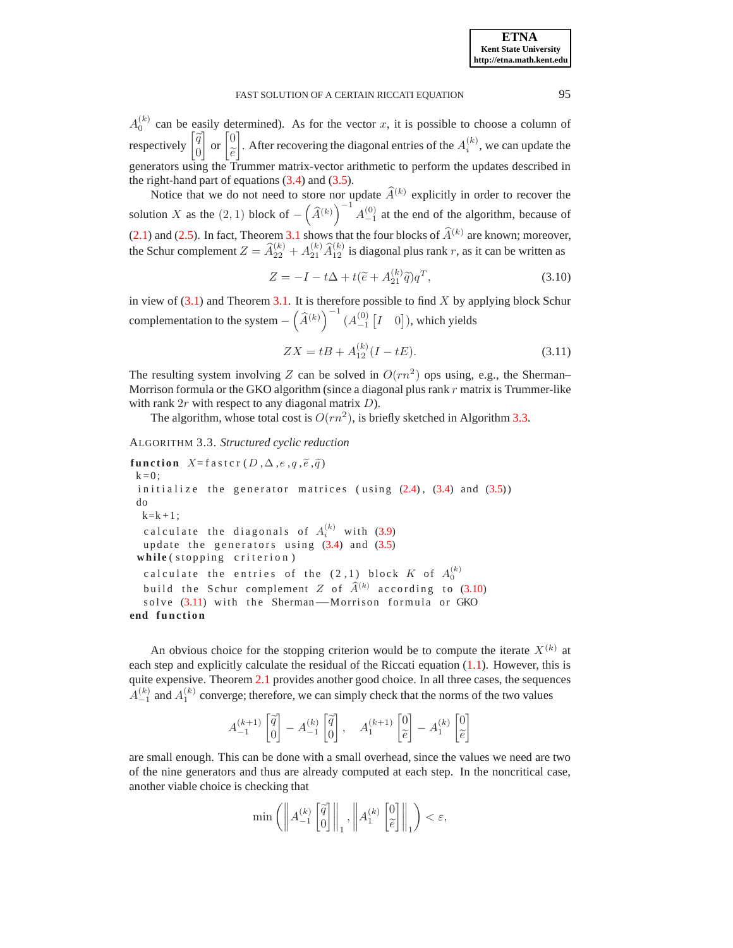$A_0^{(k)}$  can be easily determined). As for the vector x, it is possible to choose a column of respectively  $\begin{bmatrix} \widetilde{q} \\ 0 \end{bmatrix}$  $\Big]$  or  $\Big[0, \Big]$  $\widetilde{e} \over 2$ 1 . After recovering the diagonal entries of the  $A_i^{(k)}$  $i^{(k)}$ , we can update the generators using the Trummer matrix-vector arithmetic to perform the updates described in the right-hand part of equations [\(3.4\)](#page-8-1) and [\(3.5\)](#page-9-0).

Notice that we do not need to store nor update  $\widehat{A}^{(k)}$  explicitly in order to recover the solution X as the  $(2, 1)$  block of  $-\left(\widehat{A}^{(k)}\right)^{-1} A_{-1}^{(0)}$  at the end of the algorithm, because of [\(2.1\)](#page-2-3) and [\(2.5\)](#page-3-2). In fact, Theorem [3.1](#page-6-3) shows that the four blocks of  $\hat{A}^{(k)}$  are known; moreover, the Schur complement  $Z = \widehat{A}_{22}^{(k)} + A_{21}^{(k)} \widehat{A}_{12}^{(k)}$  is diagonal plus rank r, as it can be written as

<span id="page-11-1"></span>
$$
Z = -I - t\Delta + t(\tilde{e} + A_{21}^{(k)}\tilde{q})q^T,
$$
\n(3.10)

in view of  $(3.1)$  and Theorem [3.1.](#page-6-3) It is therefore possible to find X by applying block Schur complementation to the system  $- \left( \widehat{A}^{(k)} \right)^{-1} \left( A_{-1}^{(0)} \left[ I \quad 0 \right] \right)$ , which yields

<span id="page-11-2"></span>
$$
ZX = tB + A_{12}^{(k)}(I - tE). \tag{3.11}
$$

The resulting system involving Z can be solved in  $O(rn^2)$  ops using, e.g., the Sherman– Morrison formula or the GKO algorithm (since a diagonal plus rank  $r$  matrix is Trummer-like with rank  $2r$  with respect to any diagonal matrix  $D$ ).

The algorithm, whose total cost is  $O(rn^2)$ , is briefly sketched in Algorithm [3.3.](#page-11-0)

```
ALGORITHM 3.3. Structured cyclic reduction
```

```
function X = fastcr (D, \Delta, e, q, \tilde{e}, \tilde{q})k = 0:
 initialize the generator matrices (using (2.4), (3.4) and (3.5))
 do
  k=k+1;calculate the diagonals of A_i^{(k)} (3.9)
  update the generators using (3.4) and (3.5)while (stopping criterion)calculate the entries of the (2\, ,1) block K of A_0^{(k)}build the Schur complement Z of \widehat{A}^{(k)} (3.10)
   (3.11) with the Sherman-−Morrison formula or GKO
end function
```
An obvious choice for the stopping criterion would be to compute the iterate  $X^{(k)}$  at each step and explicitly calculate the residual of the Riccati equation [\(1.1\)](#page-0-0). However, this is quite expensive. Theorem [2.1](#page-3-3) provides another good choice. In all three cases, the sequences  $A_{-1}^{(k)}$  and  $A_1^{(k)}$  converge; therefore, we can simply check that the norms of the two values

$$
A^{(k+1)}_{-1}\begin{bmatrix} \widetilde{q} \\ 0 \end{bmatrix} - A^{(k)}_{-1}\begin{bmatrix} \widetilde{q} \\ 0 \end{bmatrix}, \quad A^{(k+1)}_{1}\begin{bmatrix} 0 \\ \widetilde{e} \end{bmatrix} - A^{(k)}_{1}\begin{bmatrix} 0 \\ \widetilde{e} \end{bmatrix}
$$

are small enough. This can be done with a small overhead, since the values we need are two of the nine generators and thus are already computed at each step. In the noncritical case, another viable choice is checking that

$$
\min\left(\left\|A_{-1}^{(k)}\begin{bmatrix}\tilde{q} \\ 0\end{bmatrix}\right\|_1, \left\|A_{1}^{(k)}\begin{bmatrix}0 \\ \tilde{e}\end{bmatrix}\right\|_1\right) < \varepsilon,
$$

**ETNA Kent State University http://etna.math.kent.edu**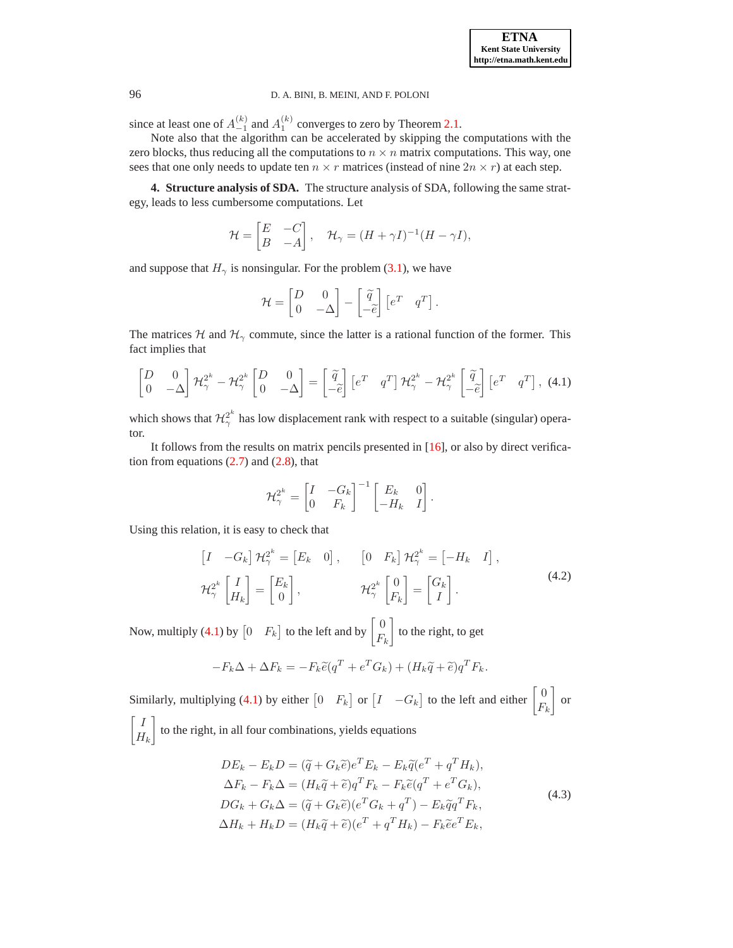since at least one of  $A_{-1}^{(k)}$  and  $A_1^{(k)}$  converges to zero by Theorem [2.1.](#page-3-3)

Note also that the algorithm can be accelerated by skipping the computations with the zero blocks, thus reducing all the computations to  $n \times n$  matrix computations. This way, one sees that one only needs to update ten  $n \times r$  matrices (instead of nine  $2n \times r$ ) at each step.

<span id="page-12-0"></span>**4. Structure analysis of SDA.** The structure analysis of SDA, following the same strategy, leads to less cumbersome computations. Let

$$
\mathcal{H} = \begin{bmatrix} E & -C \\ B & -A \end{bmatrix}, \quad \mathcal{H}_{\gamma} = (H + \gamma I)^{-1} (H - \gamma I),
$$

and suppose that  $H_{\gamma}$  is nonsingular. For the problem [\(3.1\)](#page-6-2), we have

$$
\mathcal{H} = \begin{bmatrix} D & 0 \\ 0 & -\Delta \end{bmatrix} - \begin{bmatrix} \widetilde{q} \\ -\widetilde{e} \end{bmatrix} \begin{bmatrix} e^T & q^T \end{bmatrix}.
$$

The matrices H and  $\mathcal{H}_{\gamma}$  commute, since the latter is a rational function of the former. This fact implies that

<span id="page-12-1"></span>
$$
\begin{bmatrix} D & 0 \ 0 & -\Delta \end{bmatrix} \mathcal{H}_{\gamma}^{2^{k}} - \mathcal{H}_{\gamma}^{2^{k}} \begin{bmatrix} D & 0 \ 0 & -\Delta \end{bmatrix} = \begin{bmatrix} \widetilde{q} \\ -\widetilde{e} \end{bmatrix} \begin{bmatrix} e^{T} & q^{T} \end{bmatrix} \mathcal{H}_{\gamma}^{2^{k}} - \mathcal{H}_{\gamma}^{2^{k}} \begin{bmatrix} \widetilde{q} \\ -\widetilde{e} \end{bmatrix} \begin{bmatrix} e^{T} & q^{T} \end{bmatrix}, (4.1)
$$

which shows that  $\mathcal{H}_{\gamma}^{2^k}$  $\frac{2}{\gamma}$  has low displacement rank with respect to a suitable (singular) operator.

It follows from the results on matrix pencils presented in [\[16\]](#page-19-7), or also by direct verification from equations  $(2.7)$  and  $(2.8)$ , that

$$
\mathcal{H}_{\gamma}^{2^k} = \begin{bmatrix} I & -G_k \\ 0 & F_k \end{bmatrix}^{-1} \begin{bmatrix} E_k & 0 \\ -H_k & I \end{bmatrix}.
$$

Using this relation, it is easy to check that

$$
\begin{aligned}\n\begin{bmatrix} I & -G_k \end{bmatrix} \mathcal{H}_{\gamma}^{2^k} &= \begin{bmatrix} E_k & 0 \end{bmatrix}, \qquad \begin{bmatrix} 0 & F_k \end{bmatrix} \mathcal{H}_{\gamma}^{2^k} = \begin{bmatrix} -H_k & I \end{bmatrix}, \\
\mathcal{H}_{\gamma}^{2^k} \begin{bmatrix} I \\ H_k \end{bmatrix} &= \begin{bmatrix} E_k \\ 0 \end{bmatrix}, \qquad \qquad \mathcal{H}_{\gamma}^{2^k} \begin{bmatrix} 0 \\ F_k \end{bmatrix} &= \begin{bmatrix} G_k \\ I \end{bmatrix}.\n\end{aligned} \tag{4.2}
$$

Now, multiply [\(4.1\)](#page-12-1) by  $\begin{bmatrix} 0 & F_k \end{bmatrix}$  to the left and by  $\begin{bmatrix} 0 \\ E_k \end{bmatrix}$  $F_k$ 1 to the right, to get

$$
-F_k\Delta + \Delta F_k = -F_k\tilde{e}(q^T + e^T G_k) + (H_k\tilde{q} + \tilde{e})q^T F_k.
$$

Similarly, multiplying [\(4.1\)](#page-12-1) by either  $\begin{bmatrix} 0 & F_k \end{bmatrix}$  or  $\begin{bmatrix} I & -G_k \end{bmatrix}$  to the left and either  $\begin{bmatrix} 0 & F_k \end{bmatrix}$  $F_k$ 1 or  $\lceil$  I 1

 $H_k$ to the right, in all four combinations, yields equations

<span id="page-12-2"></span>
$$
DE_k - E_k D = (\tilde{q} + G_k \tilde{e})e^T E_k - E_k \tilde{q}(e^T + q^T H_k),
$$
  
\n
$$
\Delta F_k - F_k \Delta = (H_k \tilde{q} + \tilde{e})q^T F_k - F_k \tilde{e}(q^T + e^T G_k),
$$
  
\n
$$
DG_k + G_k \Delta = (\tilde{q} + G_k \tilde{e})(e^T G_k + q^T) - E_k \tilde{q}q^T F_k,
$$
  
\n
$$
\Delta H_k + H_k D = (H_k \tilde{q} + \tilde{e})(e^T + q^T H_k) - F_k \tilde{e}e^T E_k,
$$
\n(4.3)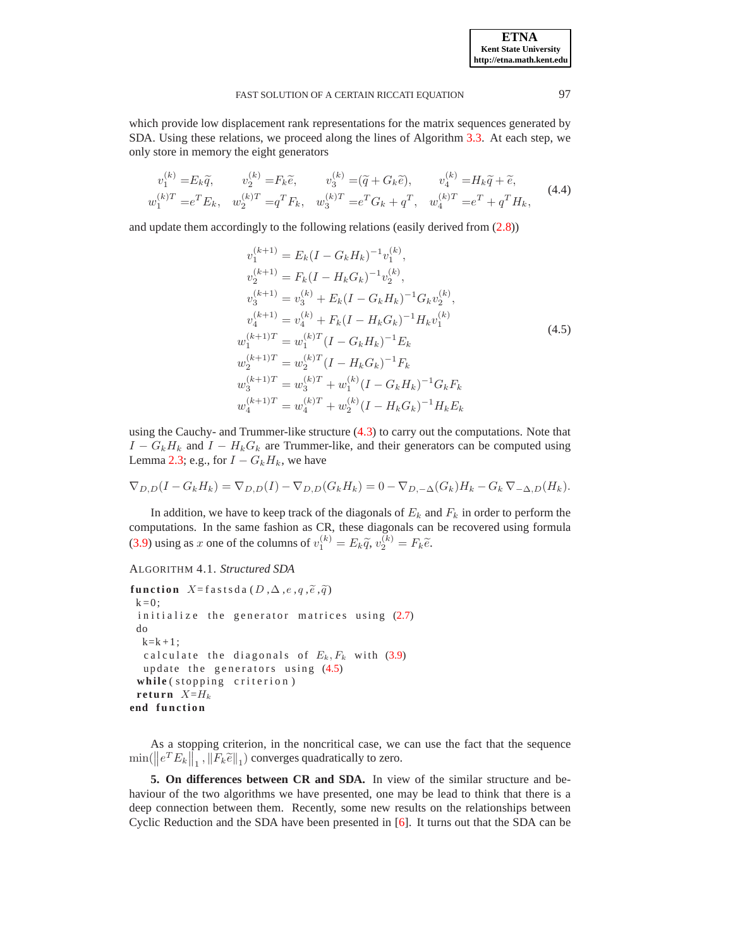which provide low displacement rank representations for the matrix sequences generated by SDA. Using these relations, we proceed along the lines of Algorithm [3.3.](#page-11-0) At each step, we only store in memory the eight generators

$$
v_1^{(k)} = E_k \tilde{q}, \qquad v_2^{(k)} = F_k \tilde{e}, \qquad v_3^{(k)} = (\tilde{q} + G_k \tilde{e}), \qquad v_4^{(k)} = H_k \tilde{q} + \tilde{e},
$$
  
\n
$$
w_1^{(k)T} = e^T E_k, \quad w_2^{(k)T} = q^T F_k, \quad w_3^{(k)T} = e^T G_k + q^T, \quad w_4^{(k)T} = e^T + q^T H_k,
$$
\n(4.4)

and update them accordingly to the following relations (easily derived from [\(2.8\)](#page-4-5))

<span id="page-13-0"></span>
$$
v_1^{(k+1)} = E_k (I - G_k H_k)^{-1} v_1^{(k)},
$$
  
\n
$$
v_2^{(k+1)} = F_k (I - H_k G_k)^{-1} v_2^{(k)},
$$
  
\n
$$
v_3^{(k+1)} = v_3^{(k)} + E_k (I - G_k H_k)^{-1} G_k v_2^{(k)},
$$
  
\n
$$
v_4^{(k+1)} = v_4^{(k)} + F_k (I - H_k G_k)^{-1} H_k v_1^{(k)}
$$
  
\n
$$
w_1^{(k+1)T} = w_1^{(k)T} (I - G_k H_k)^{-1} E_k
$$
  
\n
$$
w_2^{(k+1)T} = w_2^{(k)T} (I - H_k G_k)^{-1} F_k
$$
  
\n
$$
w_3^{(k+1)T} = w_3^{(k)T} + w_1^{(k)} (I - G_k H_k)^{-1} G_k F_k
$$
  
\n
$$
w_4^{(k+1)T} = w_4^{(k)T} + w_2^{(k)} (I - H_k G_k)^{-1} H_k E_k
$$

using the Cauchy- and Trummer-like structure [\(4.3\)](#page-12-2) to carry out the computations. Note that  $I - G_k H_k$  and  $I - H_k G_k$  are Trummer-like, and their generators can be computed using Lemma [2.3;](#page-4-3) e.g., for  $I - G_k H_k$ , we have

$$
\nabla_{D,D}(I-G_kH_k)=\nabla_{D,D}(I)-\nabla_{D,D}(G_kH_k)=0-\nabla_{D,-\Delta}(G_k)H_k-G_k\nabla_{-\Delta,D}(H_k).
$$

In addition, we have to keep track of the diagonals of  $E_k$  and  $F_k$  in order to perform the computations. In the same fashion as CR, these diagonals can be recovered using formula [\(3.9\)](#page-10-1) using as x one of the columns of  $v_1^{(k)} = E_k \tilde{q}$ ,  $v_2^{(k)} = F_k \tilde{e}$ .

```
ALGORITHM 4.1. Structured SDA
```

```
function X = \text{fasts} \, \text{da} \, (D, \Delta, e, q, \widetilde{e}, \widetilde{q})k = 0;
  (2.7)
 do
 k=k+1:
  c alculate the diagonals of E_k, F_k (3.9)
  update the generators using (4.5)while (stopping criterion)
 return X=H_kend function
```
As a stopping criterion, in the noncritical case, we can use the fact that the sequence  $\min(||e^T E_k||_1, ||F_k \tilde{e}||_1)$  converges quadratically to zero.

**5. On differences between CR and SDA.** In view of the similar structure and behaviour of the two algorithms we have presented, one may be lead to think that there is a deep connection between them. Recently, some new results on the relationships between Cyclic Reduction and the SDA have been presented in [\[6](#page-19-17)]. It turns out that the SDA can be

**ETNA Kent State University http://etna.math.kent.edu**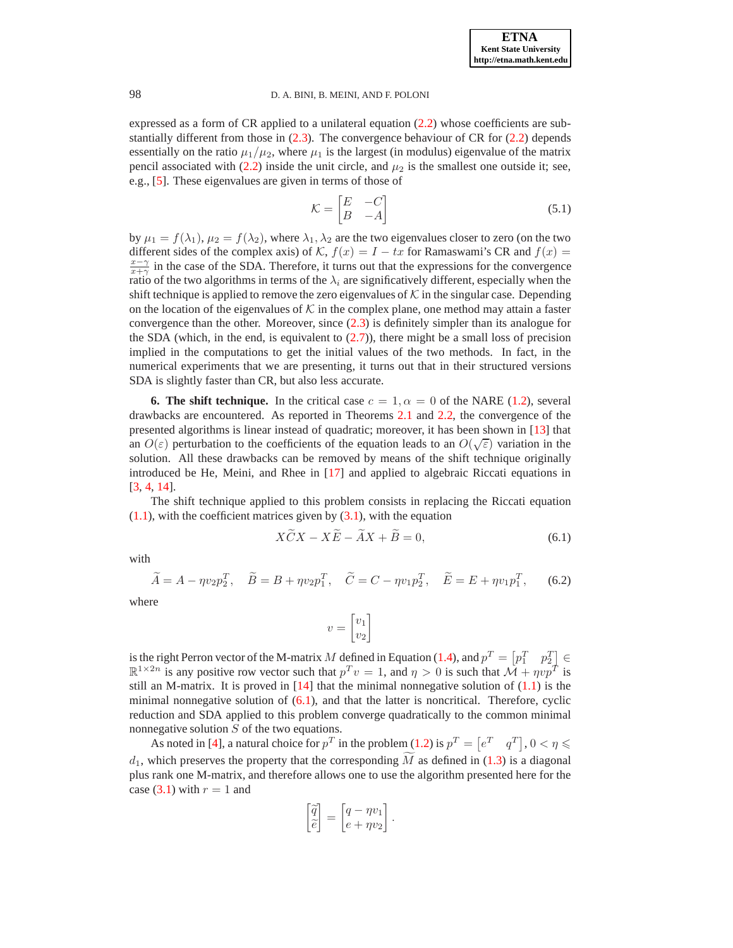expressed as a form of CR applied to a unilateral equation [\(2.2\)](#page-2-1) whose coefficients are substantially different from those in  $(2.3)$ . The convergence behaviour of CR for  $(2.2)$  depends essentially on the ratio  $\mu_1/\mu_2$ , where  $\mu_1$  is the largest (in modulus) eigenvalue of the matrix pencil associated with [\(2.2\)](#page-2-1) inside the unit circle, and  $\mu_2$  is the smallest one outside it; see, e.g., [\[5\]](#page-19-14). These eigenvalues are given in terms of those of

<span id="page-14-2"></span>
$$
\mathcal{K} = \begin{bmatrix} E & -C \\ B & -A \end{bmatrix} \tag{5.1}
$$

by  $\mu_1 = f(\lambda_1)$ ,  $\mu_2 = f(\lambda_2)$ , where  $\lambda_1, \lambda_2$  are the two eigenvalues closer to zero (on the two different sides of the complex axis) of K,  $f(x) = I - tx$  for Ramaswami's CR and  $f(x) =$  $\frac{x-\gamma}{x+\gamma}$  in the case of the SDA. Therefore, it turns out that the expressions for the convergence ratio of the two algorithms in terms of the  $\lambda_i$  are significatively different, especially when the shift technique is applied to remove the zero eigenvalues of  $K$  in the singular case. Depending on the location of the eigenvalues of  $K$  in the complex plane, one method may attain a faster convergence than the other. Moreover, since [\(2.3\)](#page-2-2) is definitely simpler than its analogue for the SDA (which, in the end, is equivalent to  $(2.7)$ ), there might be a small loss of precision implied in the computations to get the initial values of the two methods. In fact, in the numerical experiments that we are presenting, it turns out that in their structured versions SDA is slightly faster than CR, but also less accurate.

<span id="page-14-0"></span>**6. The shift technique.** In the critical case  $c = 1, \alpha = 0$  of the NARE [\(1.2\)](#page-0-1), several drawbacks are encountered. As reported in Theorems [2.1](#page-3-3) and [2.2,](#page-4-6) the convergence of the presented algorithms is linear instead of quadratic; moreover, it has been shown in [\[13\]](#page-19-18) that an  $O(\varepsilon)$  perturbation to the coefficients of the equation leads to an  $O(\sqrt{\varepsilon})$  variation in the solution. All these drawbacks can be removed by means of the shift technique originally introduced be He, Meini, and Rhee in [\[17](#page-19-19)] and applied to algebraic Riccati equations in [\[3](#page-19-5), [4](#page-19-9), [14](#page-19-6)].

The shift technique applied to this problem consists in replacing the Riccati equation  $(1.1)$ , with the coefficient matrices given by  $(3.1)$ , with the equation

<span id="page-14-1"></span>
$$
X\tilde{C}X - X\tilde{E} - \tilde{A}X + \tilde{B} = 0,
$$
\n(6.1)

with

$$
\widetilde{A} = A - \eta v_2 p_2^T, \quad \widetilde{B} = B + \eta v_2 p_1^T, \quad \widetilde{C} = C - \eta v_1 p_2^T, \quad \widetilde{E} = E + \eta v_1 p_1^T,\tag{6.2}
$$

where

$$
v=\begin{bmatrix} v_1 \\ v_2 \end{bmatrix}
$$

is the right Perron vector of the M-matrix M defined in Equation [\(1.4\)](#page-1-0), and  $p^T = \begin{bmatrix} p_1^T & p_2^T \end{bmatrix} \in \mathbb{R}$  $\mathbb{R}^{1\times 2n}$  is any positive row vector such that  $p^T v = 1$ , and  $\eta > 0$  is such that  $\mathcal{M} + \eta v \overline{p}^T$  is still an M-matrix. It is proved in  $[14]$  that the minimal nonnegative solution of  $(1.1)$  is the minimal nonnegative solution of  $(6.1)$ , and that the latter is noncritical. Therefore, cyclic reduction and SDA applied to this problem converge quadratically to the common minimal nonnegative solution S of the two equations.

As noted in [\[4](#page-19-9)], a natural choice for  $p^T$  in the problem [\(1.2\)](#page-0-1) is  $p^T = \begin{bmatrix} e^T & q^T \end{bmatrix}$ ,  $0 < \eta \leq$  $d_1$ , which preserves the property that the corresponding M as defined in [\(1.3\)](#page-0-2) is a diagonal plus rank one M-matrix, and therefore allows one to use the algorithm presented here for the case [\(3.1\)](#page-6-2) with  $r = 1$  and

$$
\begin{bmatrix} \widetilde{q} \\ \widetilde{e} \end{bmatrix} = \begin{bmatrix} q - \eta v_1 \\ e + \eta v_2 \end{bmatrix}.
$$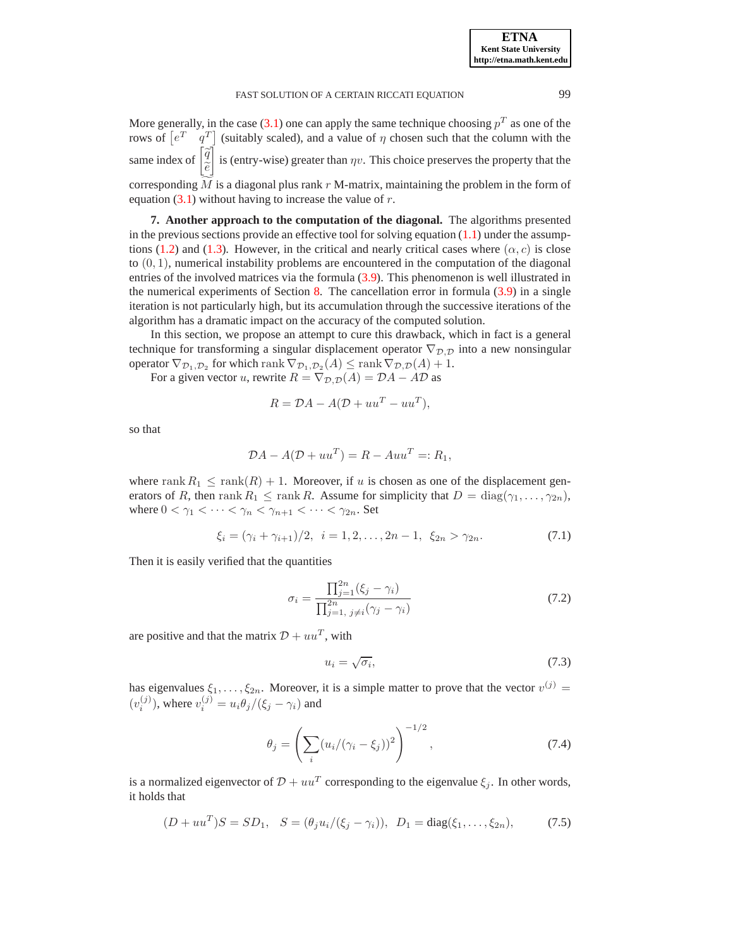More generally, in the case [\(3.1\)](#page-6-2) one can apply the same technique choosing  $p<sup>T</sup>$  as one of the rows of  $\begin{bmatrix} e^T & q^T \end{bmatrix}$  (suitably scaled), and a value of  $\eta$  chosen such that the column with the same index of  $\left[\frac{\widetilde{q}}{z}\right]$  $\tilde{e}$ ĺ is (entry-wise) greater than  $\eta v$ . This choice preserves the property that the corresponding  $\tilde{M}$  is a diagonal plus rank r M-matrix, maintaining the problem in the form of equation  $(3.1)$  without having to increase the value of r.

<span id="page-15-0"></span>**7. Another approach to the computation of the diagonal.** The algorithms presented in the previous sections provide an effective tool for solving equation  $(1.1)$  under the assump-tions [\(1.2\)](#page-0-1) and [\(1.3\)](#page-0-2). However, in the critical and nearly critical cases where  $(\alpha, c)$  is close to (0, 1), numerical instability problems are encountered in the computation of the diagonal entries of the involved matrices via the formula [\(3.9\)](#page-10-1). This phenomenon is well illustrated in the numerical experiments of Section [8.](#page-17-0) The cancellation error in formula [\(3.9\)](#page-10-1) in a single iteration is not particularly high, but its accumulation through the successive iterations of the algorithm has a dramatic impact on the accuracy of the computed solution.

In this section, we propose an attempt to cure this drawback, which in fact is a general technique for transforming a singular displacement operator  $\nabla_{\mathcal{D},\mathcal{D}}$  into a new nonsingular operator  $\nabla_{\mathcal{D}_1, \mathcal{D}_2}$  for which rank  $\nabla_{\mathcal{D}_1, \mathcal{D}_2}(A) \leq \text{rank } \nabla_{\mathcal{D}, \mathcal{D}}(A) + 1$ .

For a given vector u, rewrite  $R = \nabla_{\mathcal{D}, \mathcal{D}}(A) = \mathcal{D}A - A\mathcal{D}$  as

$$
R = \mathcal{D}A - A(\mathcal{D} + uu^T - uu^T),
$$

so that

$$
\mathcal{D}A - A(\mathcal{D} + uu^T) = R - Auu^T =: R_1,
$$

where rank  $R_1 \leq \text{rank}(R) + 1$ . Moreover, if u is chosen as one of the displacement generators of R, then rank  $R_1 \leq \text{rank } R$ . Assume for simplicity that  $D = \text{diag}(\gamma_1, \dots, \gamma_{2n}),$ where  $0 < \gamma_1 < \cdots < \gamma_n < \gamma_{n+1} < \cdots < \gamma_{2n}$ . Set

<span id="page-15-1"></span>
$$
\xi_i = (\gamma_i + \gamma_{i+1})/2, \ \ i = 1, 2, \dots, 2n - 1, \ \xi_{2n} > \gamma_{2n}.
$$
 (7.1)

Then it is easily verified that the quantities

<span id="page-15-2"></span>
$$
\sigma_i = \frac{\prod_{j=1}^{2n} (\xi_j - \gamma_i)}{\prod_{j=1, j \neq i}^{2n} (\gamma_j - \gamma_i)}
$$
(7.2)

are positive and that the matrix  $D + uu^T$ , with

<span id="page-15-3"></span>
$$
u_i = \sqrt{\sigma_i},\tag{7.3}
$$

has eigenvalues  $\xi_1, \ldots, \xi_{2n}$ . Moreover, it is a simple matter to prove that the vector  $v^{(j)}$  =  $(v_i^{(j)})$ , where  $v_i^{(j)} = u_i \theta_j / (\xi_j - \gamma_i)$  and

<span id="page-15-4"></span>
$$
\theta_j = \left(\sum_i (u_i/(\gamma_i - \xi_j))^2\right)^{-1/2},\tag{7.4}
$$

is a normalized eigenvector of  $\mathcal{D} + uu^T$  corresponding to the eigenvalue  $\xi_j$ . In other words, it holds that

<span id="page-15-5"></span>
$$
(D + uu^T)S = SD_1, \quad S = (\theta_j u_i/(\xi_j - \gamma_i)), \quad D_1 = \text{diag}(\xi_1, \dots, \xi_{2n}), \tag{7.5}
$$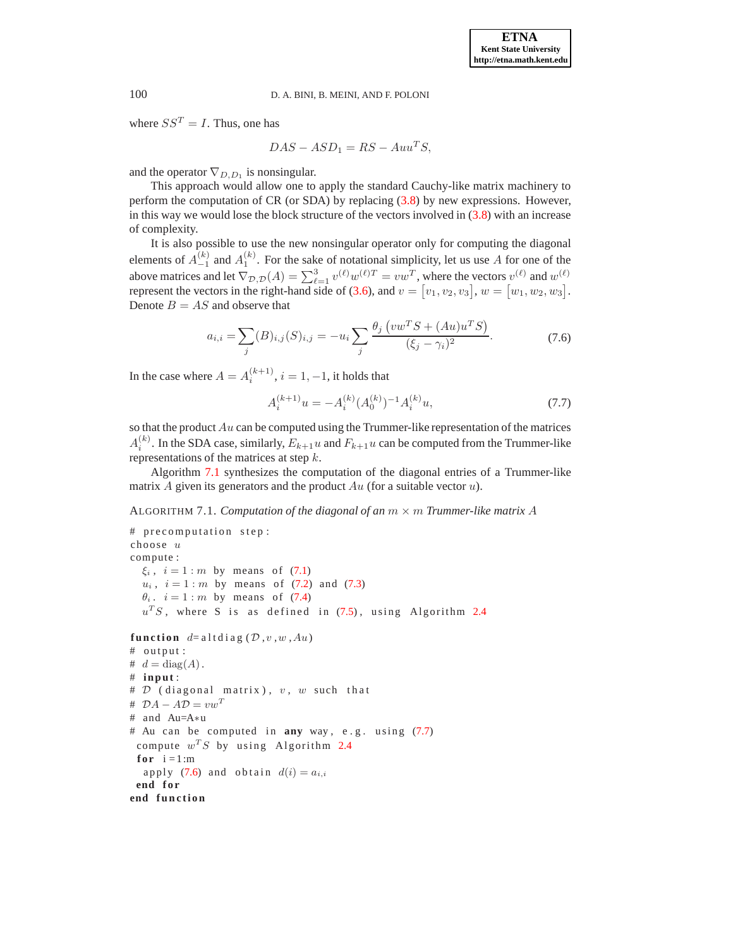where  $SS^T = I$ . Thus, one has

 $DAS - ASD_1 = RS - Auu^TS,$ 

and the operator  $\nabla_{D,D_1}$  is nonsingular.

This approach would allow one to apply the standard Cauchy-like matrix machinery to perform the computation of CR (or SDA) by replacing [\(3.8\)](#page-10-2) by new expressions. However, in this way we would lose the block structure of the vectors involved in [\(3.8\)](#page-10-2) with an increase of complexity.

It is also possible to use the new nonsingular operator only for computing the diagonal elements of  $A_{-1}^{(k)}$  and  $A_1^{(k)}$ . For the sake of notational simplicity, let us use A for one of the above matrices and let  $\nabla_{\mathcal{D},\mathcal{D}}(A) = \sum_{\ell=1}^3 v^{(\ell)}w^{(\ell)T} = vw^T$ , where the vectors  $v^{(\ell)}$  and  $w^{(\ell)}$ represent the vectors in the right-hand side of [\(3.6\)](#page-9-1), and  $v = [v_1, v_2, v_3], w = [w_1, w_2, w_3]$ . Denote  $B = AS$  and observe that

$$
a_{i,i} = \sum_{j} (B)_{i,j} (S)_{i,j} = -u_i \sum_{j} \frac{\theta_j \left( vw^T S + (Au) u^T S \right)}{(\xi_j - \gamma_i)^2}.
$$
 (7.6)

<span id="page-16-2"></span>In the case where  $A = A_i^{(k+1)}$ ,  $i = 1, -1$ , it holds that

<span id="page-16-1"></span>
$$
A_i^{(k+1)}u = -A_i^{(k)} (A_0^{(k)})^{-1} A_i^{(k)} u,
$$
\n(7.7)

so that the product  $Au$  can be computed using the Trummer-like representation of the matrices  $A_i^{(k)}$  $i^{(k)}$ . In the SDA case, similarly,  $E_{k+1}u$  and  $F_{k+1}u$  can be computed from the Trummer-like representations of the matrices at step k.

Algorithm [7.1](#page-16-0) synthesizes the computation of the diagonal entries of a Trummer-like matrix A given its generators and the product  $Au$  (for a suitable vector  $u$ ).

<span id="page-16-0"></span>ALGORITHM 7.1. *Computation of the diagonal of an*  $m \times m$  *Trummer-like matrix* A

```
# precomputation step:
choose u
compute :
 \xi_i, i = 1(7.1)
 u_i, i = 1 : m(7.2) (7.3)
 \theta_i. i = 1 (7.4)
 u^T S (7.5)2.4
function d= altdiag (D, v, w, Au)
# output:
# d = diag(A).
# in p u t :
# D (diagonal matrix), v, w such that
# \mathcal{D}A - A\mathcal{D} = vw^T# and Au=A∗u
(7.7)
 compute w^T S2.4
for i = 1:m (7.6) and obtain d(i) = a_{i,i}end for
end function
```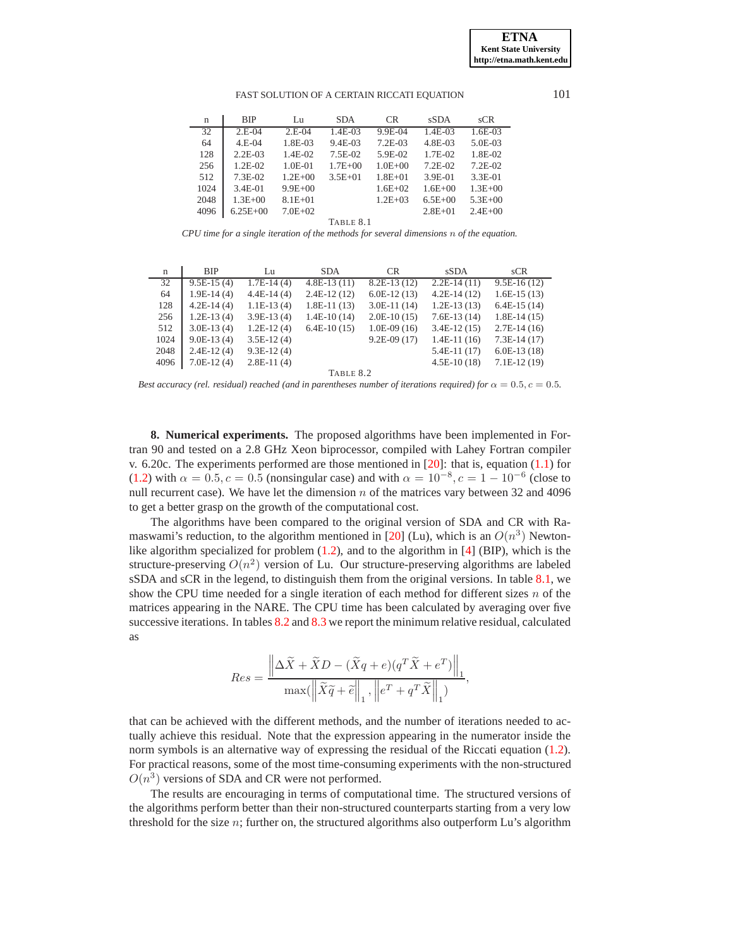| $\mathbf n$ | <b>BIP</b>   | Lu          | <b>SDA</b>  | <b>CR</b>   | <b>sSDA</b> | sCR         |
|-------------|--------------|-------------|-------------|-------------|-------------|-------------|
| 32          | $2.E-04$     | $2.E-04$    | $1.4E-03$   | 9.9E-04     | $1.4E-03$   | $1.6E-03$   |
| 64          | $4.E-04$     | 1.8E-03     | $9.4E-03$   | $7.2E-03$   | 4.8E-03     | 5.0E-03     |
| 128         | $2.2E-03$    | $1.4E-02$   | 7.5E-02     | $5.9E-02$   | 1.7E-02     | 1.8E-02     |
| 256         | $1.2E-02$    | $1.0E - 01$ | $1.7E + 00$ | $1.0E + 00$ | $7.2E-02$   | $7.2E-02$   |
| 512         | $7.3E-02$    | $1.2E + 00$ | $3.5E + 01$ | $1.8E + 01$ | $3.9E-01$   | $3.3E-01$   |
| 1024        | $3.4E-01$    | $9.9E + 00$ |             | $1.6E + 02$ | $1.6E + 00$ | $1.3E + 00$ |
| 2048        | $1.3E + 00$  | $8.1E + 01$ |             | $1.2E + 03$ | $6.5E + 00$ | $5.3E + 00$ |
| 4096        | $6.25E + 00$ | $7.0E + 02$ |             |             | $2.8E + 01$ | $2.4E + 00$ |
| TARIF 8 1   |              |             |             |             |             |             |

<span id="page-17-1"></span>*CPU time for a single iteration of the methods for several dimensions* n *of the equation.*

| n         | <b>BIP</b>   | Lu           | <b>SDA</b>    | CR.           | <b>sSDA</b>   | SCR           |  |
|-----------|--------------|--------------|---------------|---------------|---------------|---------------|--|
| 32        | $9.5E-15(4)$ | $1.7E-14(4)$ | $4.8E-13(11)$ | $8.2E-13(12)$ | $2.2E-14(11)$ | $9.5E-16(12)$ |  |
| 64        | $1.9E-14(4)$ | $4.4E-14(4)$ | $2.4E-12(12)$ | $6.0E-12(13)$ | $4.2E-14(12)$ | $1.6E-15(13)$ |  |
| 128       | $4.2E-14(4)$ | $1.1E-13(4)$ | $1.8E-11(13)$ | $3.0E-11(14)$ | $1.2E-13(13)$ | $6.4E-15(14)$ |  |
| 256       | $1.2E-13(4)$ | $3.9E-13(4)$ | $1.4E-10(14)$ | $2.0E-10(15)$ | $7.6E-13(14)$ | $1.8E-14(15)$ |  |
| 512       | $3.0E-13(4)$ | $1.2E-12(4)$ | $6.4E-10(15)$ | $1.0E-09(16)$ | $3.4E-12(15)$ | $2.7E-14(16)$ |  |
| 1024      | $9.0E-13(4)$ | $3.5E-12(4)$ |               | $9.2E-09(17)$ | $1.4E-11(16)$ | $7.3E-14(17)$ |  |
| 2048      | $2.4E-12(4)$ | $9.3E-12(4)$ |               |               | $5.4E-11(17)$ | $6.0E-13(18)$ |  |
| 4096      | $7.0E-12(4)$ | $2.8E-11(4)$ |               |               | $4.5E-10(18)$ | $7.1E-12(19)$ |  |
| TABLE 8.2 |              |              |               |               |               |               |  |

<span id="page-17-2"></span>*Best accuracy (rel. residual) reached (and in parentheses number of iterations required) for*  $\alpha = 0.5$ ,  $c = 0.5$ .

<span id="page-17-0"></span>**8. Numerical experiments.** The proposed algorithms have been implemented in Fortran 90 and tested on a 2.8 GHz Xeon biprocessor, compiled with Lahey Fortran compiler v. 6.20c. The experiments performed are those mentioned in  $[20]$ : that is, equation  $(1.1)$  for [\(1.2\)](#page-0-1) with  $\alpha = 0.5, c = 0.5$  (nonsingular case) and with  $\alpha = 10^{-8}, c = 1 - 10^{-6}$  (close to null recurrent case). We have let the dimension  $n$  of the matrices vary between 32 and 4096 to get a better grasp on the growth of the computational cost.

The algorithms have been compared to the original version of SDA and CR with Ra-maswami's reduction, to the algorithm mentioned in [\[20\]](#page-19-20) (Lu), which is an  $O(n^3)$  Newtonlike algorithm specialized for problem [\(1.2\)](#page-0-1), and to the algorithm in [\[4\]](#page-19-9) (BIP), which is the structure-preserving  $O(n^2)$  version of Lu. Our structure-preserving algorithms are labeled sSDA and sCR in the legend, to distinguish them from the original versions. In table [8.1,](#page-17-1) we show the CPU time needed for a single iteration of each method for different sizes  $n$  of the matrices appearing in the NARE. The CPU time has been calculated by averaging over five successive iterations. In tables [8.2](#page-17-2) and [8.3](#page-18-0) we report the minimum relative residual, calculated as

$$
Res = \frac{\left\| \Delta \widetilde{X} + \widetilde{X}D - (\widetilde{X}q + e)(q^T \widetilde{X} + e^T) \right\|_1}{\max(\left\| \widetilde{X}\widetilde{q} + \widetilde{e}\right\|_1, \left\| e^T + q^T \widetilde{X} \right\|_1)},
$$

that can be achieved with the different methods, and the number of iterations needed to actually achieve this residual. Note that the expression appearing in the numerator inside the norm symbols is an alternative way of expressing the residual of the Riccati equation [\(1.2\)](#page-0-1). For practical reasons, some of the most time-consuming experiments with the non-structured  $O(n^3)$  versions of SDA and CR were not performed.

The results are encouraging in terms of computational time. The structured versions of the algorithms perform better than their non-structured counterparts starting from a very low threshold for the size  $n$ ; further on, the structured algorithms also outperform Lu's algorithm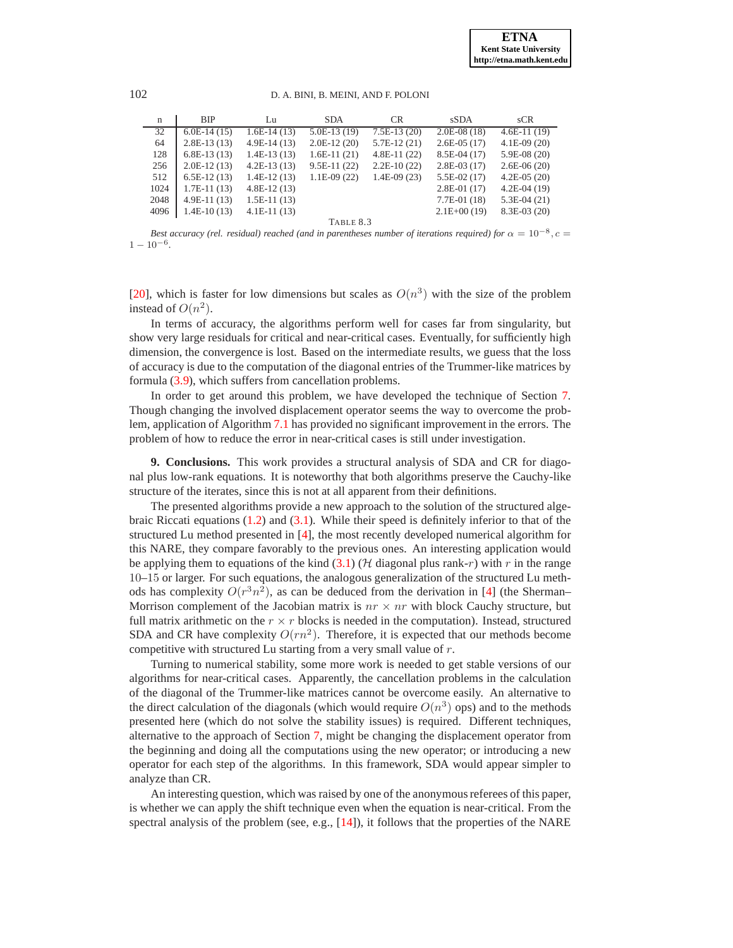102 D. A. BINI, B. MEINI, AND F. POLONI

| $\mathbf n$ | <b>BIP</b>    | Lu            | <b>SDA</b>    | CR.           | <b>sSDA</b>   | SCR           |  |
|-------------|---------------|---------------|---------------|---------------|---------------|---------------|--|
| 32          | $6.0E-14(15)$ | $1.6E-14(13)$ | $5.0E-13(19)$ | $7.5E-13(20)$ | $2.0E-08(18)$ | $4.6E-11(19)$ |  |
| 64          | $2.8E-13(13)$ | $4.9E-14(13)$ | $2.0E-12(20)$ | $5.7E-12(21)$ | $2.6E-05(17)$ | $4.1E-09(20)$ |  |
| 128         | $6.8E-13(13)$ | $1.4E-13(13)$ | $1.6E-11(21)$ | $4.8E-11(22)$ | $8.5E-04(17)$ | $5.9E-08(20)$ |  |
| 256         | $2.0E-12(13)$ | $4.2E-13(13)$ | $9.5E-11(22)$ | $2.2E-10(22)$ | $2.8E-03(17)$ | $2.6E-06(20)$ |  |
| 512         | $6.5E-12(13)$ | $1.4E-12(13)$ | $1.1E-09(22)$ | $1.4E-09(23)$ | $5.5E-02(17)$ | $4.2E-05(20)$ |  |
| 1024        | $1.7E-11(13)$ | $4.8E-12(13)$ |               |               | $2.8E-01(17)$ | $4.2E-04(19)$ |  |
| 2048        | $4.9E-11(13)$ | $1.5E-11(13)$ |               |               | $7.7E-01(18)$ | $5.3E-04(21)$ |  |
| 4096        | $1.4E-10(13)$ | $4.1E-11(13)$ |               |               | $2.1E+00(19)$ | $8.3E-03(20)$ |  |
| TABLE 8.3   |               |               |               |               |               |               |  |

<span id="page-18-0"></span>*Best accuracy (rel. residual) reached (and in parentheses number of iterations required) for*  $\alpha = 10^{-8}$ ,  $c =$  $1 - 10^{-6}$ .

[\[20](#page-19-20)], which is faster for low dimensions but scales as  $O(n^3)$  with the size of the problem instead of  $O(n^2)$ .

In terms of accuracy, the algorithms perform well for cases far from singularity, but show very large residuals for critical and near-critical cases. Eventually, for sufficiently high dimension, the convergence is lost. Based on the intermediate results, we guess that the loss of accuracy is due to the computation of the diagonal entries of the Trummer-like matrices by formula [\(3.9\)](#page-10-1), which suffers from cancellation problems.

In order to get around this problem, we have developed the technique of Section [7.](#page-15-0) Though changing the involved displacement operator seems the way to overcome the problem, application of Algorithm [7.1](#page-16-0) has provided no significant improvement in the errors. The problem of how to reduce the error in near-critical cases is still under investigation.

**9. Conclusions.** This work provides a structural analysis of SDA and CR for diagonal plus low-rank equations. It is noteworthy that both algorithms preserve the Cauchy-like structure of the iterates, since this is not at all apparent from their definitions.

The presented algorithms provide a new approach to the solution of the structured algebraic Riccati equations [\(1.2\)](#page-0-1) and [\(3.1\)](#page-6-2). While their speed is definitely inferior to that of the structured Lu method presented in [\[4](#page-19-9)], the most recently developed numerical algorithm for this NARE, they compare favorably to the previous ones. An interesting application would be applying them to equations of the kind  $(3.1)$  ( $\mathcal H$  diagonal plus rank-r) with r in the range 10–15 or larger. For such equations, the analogous generalization of the structured Lu methods has complexity  $O(r^3n^2)$ , as can be deduced from the derivation in [\[4](#page-19-9)] (the Sherman– Morrison complement of the Jacobian matrix is  $nr \times nr$  with block Cauchy structure, but full matrix arithmetic on the  $r \times r$  blocks is needed in the computation). Instead, structured SDA and CR have complexity  $O(rn^2)$ . Therefore, it is expected that our methods become competitive with structured Lu starting from a very small value of r.

Turning to numerical stability, some more work is needed to get stable versions of our algorithms for near-critical cases. Apparently, the cancellation problems in the calculation of the diagonal of the Trummer-like matrices cannot be overcome easily. An alternative to the direct calculation of the diagonals (which would require  $O(n^3)$  ops) and to the methods presented here (which do not solve the stability issues) is required. Different techniques, alternative to the approach of Section [7,](#page-15-0) might be changing the displacement operator from the beginning and doing all the computations using the new operator; or introducing a new operator for each step of the algorithms. In this framework, SDA would appear simpler to analyze than CR.

An interesting question, which was raised by one of the anonymous referees of this paper, is whether we can apply the shift technique even when the equation is near-critical. From the spectral analysis of the problem (see, e.g., [\[14\]](#page-19-6)), it follows that the properties of the NARE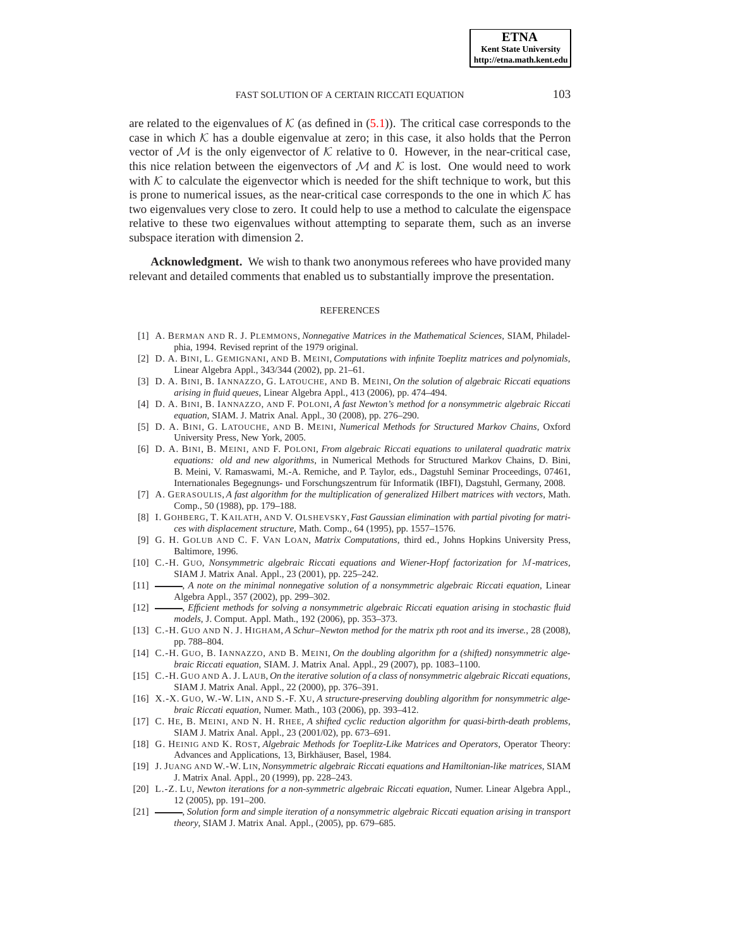are related to the eigenvalues of  $K$  (as defined in [\(5.1\)](#page-14-2)). The critical case corresponds to the case in which  $K$  has a double eigenvalue at zero; in this case, it also holds that the Perron vector of M is the only eigenvector of K relative to 0. However, in the near-critical case, this nice relation between the eigenvectors of M and K is lost. One would need to work with  $K$  to calculate the eigenvector which is needed for the shift technique to work, but this is prone to numerical issues, as the near-critical case corresponds to the one in which  $K$  has two eigenvalues very close to zero. It could help to use a method to calculate the eigenspace relative to these two eigenvalues without attempting to separate them, such as an inverse subspace iteration with dimension 2.

**Acknowledgment.** We wish to thank two anonymous referees who have provided many relevant and detailed comments that enabled us to substantially improve the presentation.

#### REFERENCES

- <span id="page-19-2"></span>[1] A. BERMAN AND R. J. PLEMMONS, *Nonnegative Matrices in the Mathematical Sciences*, SIAM, Philadelphia, 1994. Revised reprint of the 1979 original.
- <span id="page-19-13"></span>[2] D. A. BINI, L. GEMIGNANI, AND B. MEINI, *Computations with infinite Toeplitz matrices and polynomials*, Linear Algebra Appl., 343/344 (2002), pp. 21–61.
- <span id="page-19-5"></span>[3] D. A. BINI, B. IANNAZZO, G. LATOUCHE, AND B. MEINI, *On the solution of algebraic Riccati equations arising in fluid queues*, Linear Algebra Appl., 413 (2006), pp. 474–494.
- <span id="page-19-9"></span>[4] D. A. BINI, B. IANNAZZO, AND F. POLONI, *A fast Newton's method for a nonsymmetric algebraic Riccati equation*, SIAM. J. Matrix Anal. Appl., 30 (2008), pp. 276–290.
- <span id="page-19-14"></span>[5] D. A. BINI, G. LATOUCHE, AND B. MEINI, *Numerical Methods for Structured Markov Chains*, Oxford University Press, New York, 2005.
- <span id="page-19-17"></span>[6] D. A. BINI, B. MEINI, AND F. POLONI, *From algebraic Riccati equations to unilateral quadratic matrix equations: old and new algorithms*, in Numerical Methods for Structured Markov Chains, D. Bini, B. Meini, V. Ramaswami, M.-A. Remiche, and P. Taylor, eds., Dagstuhl Seminar Proceedings, 07461, Internationales Begegnungs- und Forschungszentrum für Informatik (IBFI), Dagstuhl, Germany, 2008.
- <span id="page-19-15"></span>[7] A. GERASOULIS, *A fast algorithm for the multiplication of generalized Hilbert matrices with vectors*, Math. Comp., 50 (1988), pp. 179–188.
- <span id="page-19-11"></span>[8] I. GOHBERG, T. KAILATH, AND V. OLSHEVSKY, *Fast Gaussian elimination with partial pivoting for matrices with displacement structure*, Math. Comp., 64 (1995), pp. 1557–1576.
- <span id="page-19-16"></span>[9] G. H. GOLUB AND C. F. VAN LOAN, *Matrix Computations*, third ed., Johns Hopkins University Press, Baltimore, 1996.
- <span id="page-19-1"></span>[10] C.-H. GUO, *Nonsymmetric algebraic Riccati equations and Wiener-Hopf factorization for* M*-matrices*, SIAM J. Matrix Anal. Appl., 23 (2001), pp. 225–242.
- <span id="page-19-12"></span>[11] , *A note on the minimal nonnegative solution of a nonsymmetric algebraic Riccati equation*, Linear Algebra Appl., 357 (2002), pp. 299–302.
- <span id="page-19-4"></span>[12] , *Efficient methods for solving a nonsymmetric algebraic Riccati equation arising in stochastic fluid models*, J. Comput. Appl. Math., 192 (2006), pp. 353–373.
- <span id="page-19-18"></span>[13] C.-H. GUO AND N. J. HIGHAM, *A Schur–Newton method for the matrix* p*th root and its inverse.*, 28 (2008), pp. 788–804.
- <span id="page-19-6"></span>[14] C.-H. GUO, B. IANNAZZO, AND B. MEINI, *On the doubling algorithm for a (shifted) nonsymmetric algebraic Riccati equation*, SIAM. J. Matrix Anal. Appl., 29 (2007), pp. 1083–1100.
- <span id="page-19-3"></span>[15] C.-H. GUO AND A. J. LAUB, *On the iterative solution of a class of nonsymmetric algebraic Riccati equations*, SIAM J. Matrix Anal. Appl., 22 (2000), pp. 376–391.
- <span id="page-19-7"></span>[16] X.-X. GUO, W.-W. LIN, AND S.-F. XU, *A structure-preserving doubling algorithm for nonsymmetric algebraic Riccati equation*, Numer. Math., 103 (2006), pp. 393–412.
- <span id="page-19-19"></span>[17] C. HE, B. MEINI, AND N. H. RHEE, *A shifted cyclic reduction algorithm for quasi-birth-death problems*, SIAM J. Matrix Anal. Appl., 23 (2001/02), pp. 673–691.
- <span id="page-19-10"></span>[18] G. HEINIG AND K. ROST, *Algebraic Methods for Toeplitz-Like Matrices and Operators*, Operator Theory: Advances and Applications, 13, Birkhäuser, Basel, 1984.
- <span id="page-19-0"></span>[19] J. JUANG AND W.-W. LIN, *Nonsymmetric algebraic Riccati equations and Hamiltonian-like matrices*, SIAM J. Matrix Anal. Appl., 20 (1999), pp. 228–243.
- <span id="page-19-20"></span>[20] L.-Z. LU, *Newton iterations for a non-symmetric algebraic Riccati equation*, Numer. Linear Algebra Appl., 12 (2005), pp. 191–200.
- <span id="page-19-8"></span>[21] , *Solution form and simple iteration of a nonsymmetric algebraic Riccati equation arising in transport theory*, SIAM J. Matrix Anal. Appl., (2005), pp. 679–685.